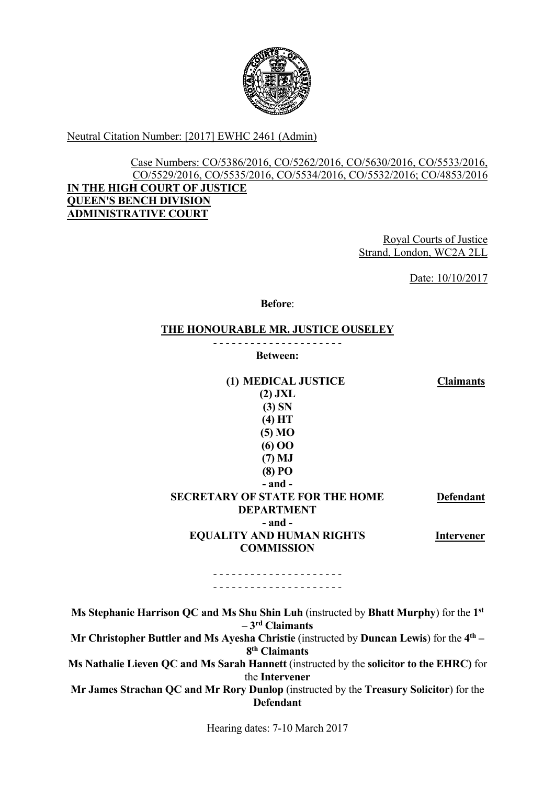

Neutral Citation Number: [2017] EWHC 2461 (Admin)

#### Case Numbers: CO/5386/2016, CO/5262/2016, CO/5630/2016, CO/5533/2016, CO/5529/2016, CO/5535/2016, CO/5534/2016, CO/5532/2016; CO/4853/2016 **IN THE HIGH COURT OF JUSTICE QUEEN'S BENCH DIVISION ADMINISTRATIVE COURT**

Royal Courts of Justice Strand, London, WC2A 2LL

Date: 10/10/2017

**Before**:

#### **THE HONOURABLE MR. JUSTICE OUSELEY**

- - - - - - - - - - - - - - - - - - - - - **Between:**

| (1) MEDICAL JUSTICE                    | <b>Claimants</b>  |
|----------------------------------------|-------------------|
| $(2)$ JXL                              |                   |
| (3) SN                                 |                   |
| (4) HT                                 |                   |
| (5) MO                                 |                   |
| $(6)$ OO                               |                   |
| $(7)$ MJ                               |                   |
| $(8)$ PO                               |                   |
| $-$ and $-$                            |                   |
| <b>SECRETARY OF STATE FOR THE HOME</b> | <b>Defendant</b>  |
| <b>DEPARTMENT</b>                      |                   |
| - and -                                |                   |
| <b>EQUALITY AND HUMAN RIGHTS</b>       | <b>Intervener</b> |
| <b>COMMISSION</b>                      |                   |
|                                        |                   |

- - - - - - - - - - - - - - - - - - - - - - - - - - - - - - - - - - - - - - - - - -

**Ms Stephanie Harrison QC and Ms Shu Shin Luh** (instructed by **Bhatt Murphy**) for the **1st – 3rd Claimants Mr Christopher Buttler and Ms Ayesha Christie (instructed by <b>Duncan Lewis**) for the 4<sup>th</sup> – **8th Claimants Ms Nathalie Lieven QC and Ms Sarah Hannett** (instructed by the **solicitor to the EHRC)** for the **Intervener Mr James Strachan QC and Mr Rory Dunlop** (instructed by the **Treasury Solicitor**) for the **Defendant** 

Hearing dates: 7-10 March 2017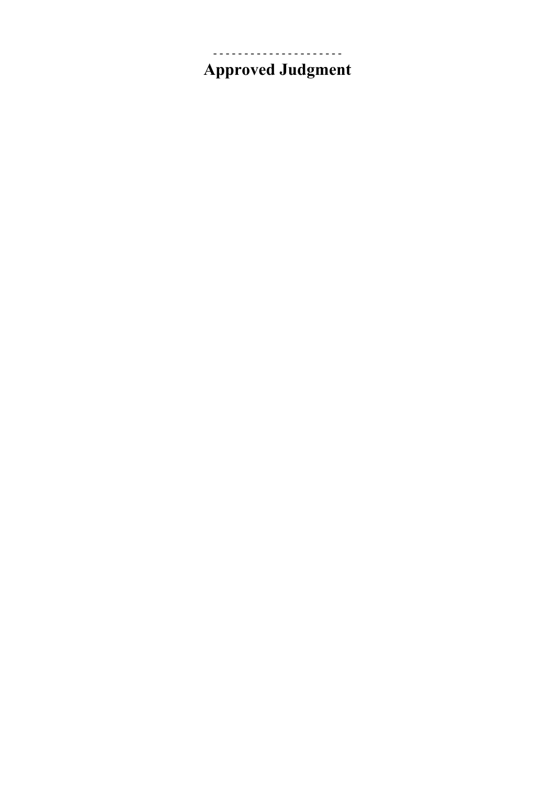## **Approved Judgment**

- - - - - - - - - - - - - - - - - - - - -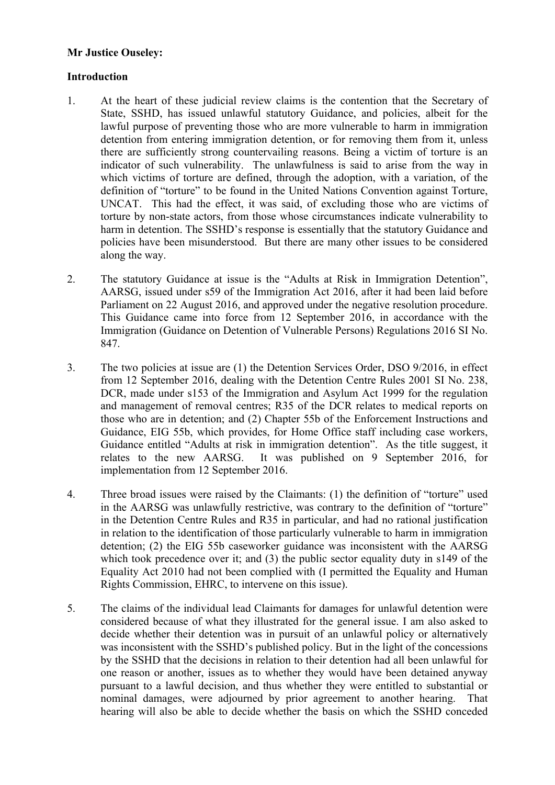# **Mr Justice Ouseley: Introduction**

- detention from entering immigration detention, or for removing them from it, unless indicator of such vulnerability. The unlawfulness is said to arise from the way in 1. At the heart of these judicial review claims is the contention that the Secretary of State, SSHD, has issued unlawful statutory Guidance, and policies, albeit for the lawful purpose of preventing those who are more vulnerable to harm in immigration there are sufficiently strong countervailing reasons. Being a victim of torture is an which victims of torture are defined, through the adoption, with a variation, of the definition of "torture" to be found in the United Nations Convention against Torture, UNCAT. This had the effect, it was said, of excluding those who are victims of torture by non-state actors, from those whose circumstances indicate vulnerability to harm in detention. The SSHD's response is essentially that the statutory Guidance and policies have been misunderstood. But there are many other issues to be considered along the way.
- 2. The statutory Guidance at issue is the "Adults at Risk in Immigration Detention", AARSG, issued under s59 of the Immigration Act 2016, after it had been laid before Parliament on 22 August 2016, and approved under the negative resolution procedure. This Guidance came into force from 12 September 2016, in accordance with the Immigration (Guidance on Detention of Vulnerable Persons) Regulations 2016 SI No. 847.
- DCR, made under s153 of the Immigration and Asylum Act 1999 for the regulation 3. The two policies at issue are (1) the Detention Services Order, DSO 9/2016, in effect from 12 September 2016, dealing with the Detention Centre Rules 2001 SI No. 238, and management of removal centres; R35 of the DCR relates to medical reports on those who are in detention; and (2) Chapter 55b of the Enforcement Instructions and Guidance, EIG 55b, which provides, for Home Office staff including case workers, Guidance entitled "Adults at risk in immigration detention". As the title suggest, it relates to the new AARSG. It was published on 9 September 2016, for implementation from 12 September 2016.
- 4. Three broad issues were raised by the Claimants: (1) the definition of "torture" used in the AARSG was unlawfully restrictive, was contrary to the definition of "torture" in the Detention Centre Rules and R35 in particular, and had no rational justification in relation to the identification of those particularly vulnerable to harm in immigration detention; (2) the EIG 55b caseworker guidance was inconsistent with the AARSG which took precedence over it; and (3) the public sector equality duty in s149 of the Equality Act 2010 had not been complied with (I permitted the Equality and Human Rights Commission, EHRC, to intervene on this issue).
- by the SSHD that the decisions in relation to their detention had all been unlawful for hearing will also be able to decide whether the basis on which the SSHD conceded 5. The claims of the individual lead Claimants for damages for unlawful detention were considered because of what they illustrated for the general issue. I am also asked to decide whether their detention was in pursuit of an unlawful policy or alternatively was inconsistent with the SSHD's published policy. But in the light of the concessions one reason or another, issues as to whether they would have been detained anyway pursuant to a lawful decision, and thus whether they were entitled to substantial or nominal damages, were adjourned by prior agreement to another hearing. That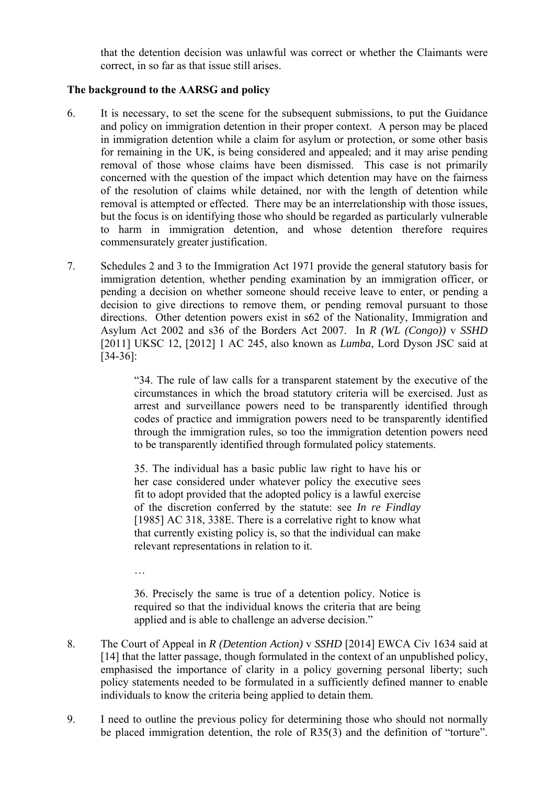that the detention decision was unlawful was correct or whether the Claimants were correct, in so far as that issue still arises.

### **The background to the AARSG and policy**

- removal is attempted or effected. There may be an interrelationship with those issues, 6. It is necessary, to set the scene for the subsequent submissions, to put the Guidance and policy on immigration detention in their proper context. A person may be placed in immigration detention while a claim for asylum or protection, or some other basis for remaining in the UK, is being considered and appealed; and it may arise pending removal of those whose claims have been dismissed. This case is not primarily concerned with the question of the impact which detention may have on the fairness of the resolution of claims while detained, nor with the length of detention while but the focus is on identifying those who should be regarded as particularly vulnerable to harm in immigration detention, and whose detention therefore requires commensurately greater justification.
- 7. Schedules 2 and 3 to the Immigration Act 1971 provide the general statutory basis for immigration detention, whether pending examination by an immigration officer, or pending a decision on whether someone should receive leave to enter, or pending a decision to give directions to remove them, or pending removal pursuant to those directions. Other detention powers exist in s62 of the Nationality, Immigration and Asylum Act 2002 and s36 of the Borders Act 2007. In *R (WL (Congo))* v *SSHD*  [2011] UKSC 12, [2012] 1 AC 245, also known as *Lumba*, Lord Dyson JSC said at [34-36]:

 circumstances in which the broad statutory criteria will be exercised. Just as "34. The rule of law calls for a transparent statement by the executive of the arrest and surveillance powers need to be transparently identified through codes of practice and immigration powers need to be transparently identified through the immigration rules, so too the immigration detention powers need to be transparently identified through formulated policy statements.

35. The individual has a basic public law right to have his or her case considered under whatever policy the executive sees fit to adopt provided that the adopted policy is a lawful exercise of the discretion conferred by the statute: see *In re Findlay*  [1985] AC 318, 338E. There is a correlative right to know what that currently existing policy is, so that the individual can make relevant representations in relation to it.

…

 36. Precisely the same is true of a detention policy. Notice is required so that the individual knows the criteria that are being applied and is able to challenge an adverse decision."

- 8. The Court of Appeal in *R (Detention Action)* v *SSHD* [2014] EWCA Civ 1634 said at [14] that the latter passage, though formulated in the context of an unpublished policy, emphasised the importance of clarity in a policy governing personal liberty; such policy statements needed to be formulated in a sufficiently defined manner to enable individuals to know the criteria being applied to detain them.
- 9. I need to outline the previous policy for determining those who should not normally be placed immigration detention, the role of R35(3) and the definition of "torture".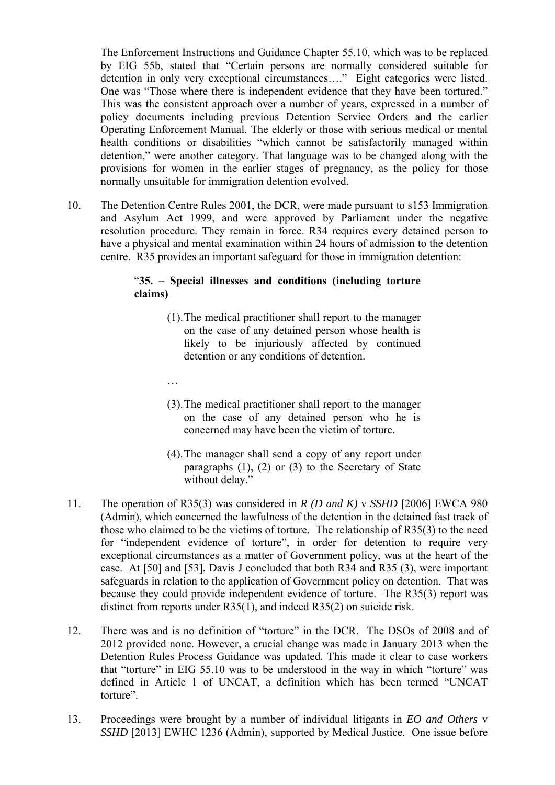by EIG 55b, stated that "Certain persons are normally considered suitable for Operating Enforcement Manual. The elderly or those with serious medical or mental The Enforcement Instructions and Guidance Chapter 55.10, which was to be replaced detention in only very exceptional circumstances…." Eight categories were listed. One was "Those where there is independent evidence that they have been tortured." This was the consistent approach over a number of years, expressed in a number of policy documents including previous Detention Service Orders and the earlier health conditions or disabilities "which cannot be satisfactorily managed within detention," were another category. That language was to be changed along with the provisions for women in the earlier stages of pregnancy, as the policy for those normally unsuitable for immigration detention evolved.

10. The Detention Centre Rules 2001, the DCR, were made pursuant to s153 Immigration and Asylum Act 1999, and were approved by Parliament under the negative resolution procedure. They remain in force. R34 requires every detained person to have a physical and mental examination within 24 hours of admission to the detention centre. R35 provides an important safeguard for those in immigration detention:

#### "**35. – Special illnesses and conditions (including torture claims)**

- (1).The medical practitioner shall report to the manager on the case of any detained person whose health is likely to be injuriously affected by continued detention or any conditions of detention.
- …
- (3).The medical practitioner shall report to the manager on the case of any detained person who he is concerned may have been the victim of torture.
- (4).The manager shall send a copy of any report under paragraphs  $(1)$ ,  $(2)$  or  $(3)$  to the Secretary of State without delay."
- 11. The operation of R35(3) was considered in *R (D and K)* v *SSHD* [2006] EWCA 980 (Admin), which concerned the lawfulness of the detention in the detained fast track of those who claimed to be the victims of torture. The relationship of R35(3) to the need for "independent evidence of torture", in order for detention to require very exceptional circumstances as a matter of Government policy, was at the heart of the case. At [50] and [53], Davis J concluded that both R34 and R35 (3), were important safeguards in relation to the application of Government policy on detention. That was because they could provide independent evidence of torture. The R35(3) report was distinct from reports under R35(1), and indeed R35(2) on suicide risk.
- 12. There was and is no definition of "torture" in the DCR. The DSOs of 2008 and of defined in Article 1 of UNCAT, a definition which has been termed "UNCAT 2012 provided none. However, a crucial change was made in January 2013 when the Detention Rules Process Guidance was updated. This made it clear to case workers that "torture" in EIG 55.10 was to be understood in the way in which "torture" was torture".
- 13. Proceedings were brought by a number of individual litigants in *EO and Others* v *SSHD* [2013] EWHC 1236 (Admin), supported by Medical Justice. One issue before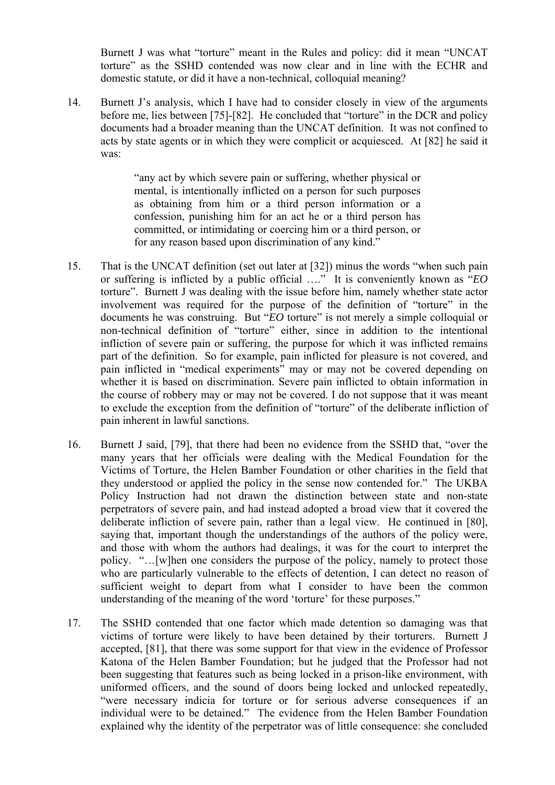Burnett J was what "torture" meant in the Rules and policy: did it mean "UNCAT torture" as the SSHD contended was now clear and in line with the ECHR and domestic statute, or did it have a non-technical, colloquial meaning?

 documents had a broader meaning than the UNCAT definition. It was not confined to acts by state agents or in which they were complicit or acquiesced. At [82] he said it 14. Burnett J's analysis, which I have had to consider closely in view of the arguments before me, lies between [75]-[82]. He concluded that "torture" in the DCR and policy was:

> as obtaining from him or a third person information or a committed, or intimidating or coercing him or a third person, or "any act by which severe pain or suffering, whether physical or mental, is intentionally inflicted on a person for such purposes confession, punishing him for an act he or a third person has for any reason based upon discrimination of any kind."

- torture". Burnett J was dealing with the issue before him, namely whether state actor infliction of severe pain or suffering, the purpose for which it was inflicted remains 15. That is the UNCAT definition (set out later at [32]) minus the words "when such pain or suffering is inflicted by a public official …." It is conveniently known as "*EO*  involvement was required for the purpose of the definition of "torture" in the documents he was construing. But "*EO* torture" is not merely a simple colloquial or non-technical definition of "torture" either, since in addition to the intentional part of the definition. So for example, pain inflicted for pleasure is not covered, and pain inflicted in "medical experiments" may or may not be covered depending on whether it is based on discrimination. Severe pain inflicted to obtain information in the course of robbery may or may not be covered. I do not suppose that it was meant to exclude the exception from the definition of "torture" of the deliberate infliction of pain inherent in lawful sanctions.
- 16. Burnett J said, [79], that there had been no evidence from the SSHD that, "over the deliberate infliction of severe pain, rather than a legal view. He continued in [80], many years that her officials were dealing with the Medical Foundation for the Victims of Torture, the Helen Bamber Foundation or other charities in the field that they understood or applied the policy in the sense now contended for." The UKBA Policy Instruction had not drawn the distinction between state and non-state perpetrators of severe pain, and had instead adopted a broad view that it covered the saying that, important though the understandings of the authors of the policy were, and those with whom the authors had dealings, it was for the court to interpret the policy. "…[w]hen one considers the purpose of the policy, namely to protect those who are particularly vulnerable to the effects of detention, I can detect no reason of sufficient weight to depart from what I consider to have been the common understanding of the meaning of the word 'torture' for these purposes."
- explained why the identity of the perpetrator was of little consequence: she concluded 17. The SSHD contended that one factor which made detention so damaging was that victims of torture were likely to have been detained by their torturers. Burnett J accepted, [81], that there was some support for that view in the evidence of Professor Katona of the Helen Bamber Foundation; but he judged that the Professor had not been suggesting that features such as being locked in a prison-like environment, with uniformed officers, and the sound of doors being locked and unlocked repeatedly, "were necessary indicia for torture or for serious adverse consequences if an individual were to be detained." The evidence from the Helen Bamber Foundation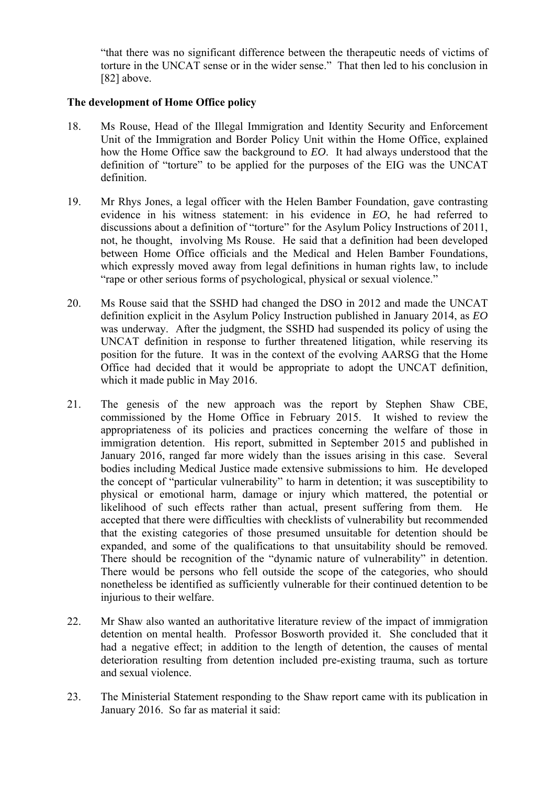"that there was no significant difference between the therapeutic needs of victims of torture in the UNCAT sense or in the wider sense." That then led to his conclusion in [82] above.

#### **The development of Home Office policy**

- 18. Ms Rouse, Head of the Illegal Immigration and Identity Security and Enforcement definition of "torture" to be applied for the purposes of the EIG was the UNCAT Unit of the Immigration and Border Policy Unit within the Home Office, explained how the Home Office saw the background to *EO*. It had always understood that the definition.
- 19. Mr Rhys Jones, a legal officer with the Helen Bamber Foundation, gave contrasting evidence in his witness statement: in his evidence in *EO*, he had referred to discussions about a definition of "torture" for the Asylum Policy Instructions of 2011, not, he thought, involving Ms Rouse. He said that a definition had been developed between Home Office officials and the Medical and Helen Bamber Foundations, which expressly moved away from legal definitions in human rights law, to include "rape or other serious forms of psychological, physical or sexual violence."
- position for the future. It was in the context of the evolving AARSG that the Home 20. Ms Rouse said that the SSHD had changed the DSO in 2012 and made the UNCAT definition explicit in the Asylum Policy Instruction published in January 2014, as *EO*  was underway. After the judgment, the SSHD had suspended its policy of using the UNCAT definition in response to further threatened litigation, while reserving its Office had decided that it would be appropriate to adopt the UNCAT definition, which it made public in May 2016.
- commissioned by the Home Office in February 2015. It wished to review the immigration detention. His report, submitted in September 2015 and published in bodies including Medical Justice made extensive submissions to him. He developed likelihood of such effects rather than actual, present suffering from them. He 21. The genesis of the new approach was the report by Stephen Shaw CBE, appropriateness of its policies and practices concerning the welfare of those in January 2016, ranged far more widely than the issues arising in this case. Several the concept of "particular vulnerability" to harm in detention; it was susceptibility to physical or emotional harm, damage or injury which mattered, the potential or accepted that there were difficulties with checklists of vulnerability but recommended that the existing categories of those presumed unsuitable for detention should be expanded, and some of the qualifications to that unsuitability should be removed. There should be recognition of the "dynamic nature of vulnerability" in detention. There would be persons who fell outside the scope of the categories, who should nonetheless be identified as sufficiently vulnerable for their continued detention to be injurious to their welfare.
- 22. Mr Shaw also wanted an authoritative literature review of the impact of immigration deterioration resulting from detention included pre-existing trauma, such as torture detention on mental health. Professor Bosworth provided it. She concluded that it had a negative effect; in addition to the length of detention, the causes of mental and sexual violence.
- 23. The Ministerial Statement responding to the Shaw report came with its publication in January 2016. So far as material it said: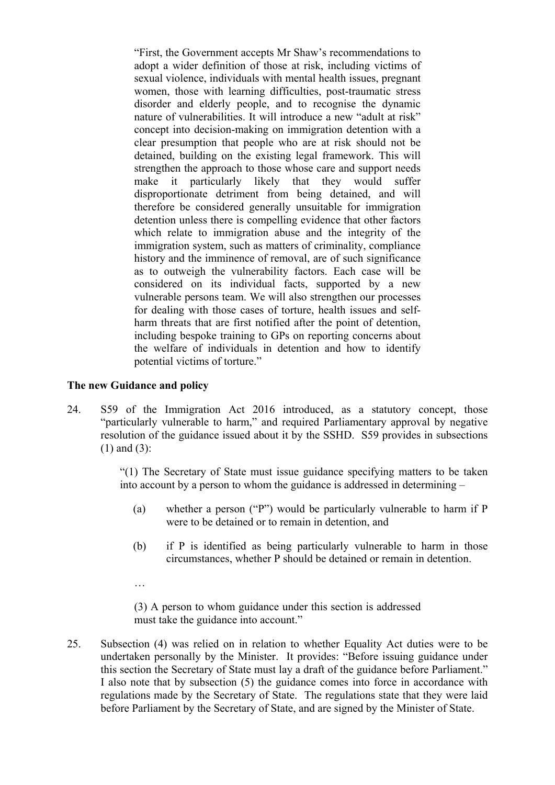which relate to immigration abuse and the integrity of the vulnerable persons team. We will also strengthen our processes harm threats that are first notified after the point of detention, "First, the Government accepts Mr Shaw's recommendations to adopt a wider definition of those at risk, including victims of sexual violence, individuals with mental health issues, pregnant women, those with learning difficulties, post-traumatic stress disorder and elderly people, and to recognise the dynamic nature of vulnerabilities. It will introduce a new "adult at risk" concept into decision-making on immigration detention with a clear presumption that people who are at risk should not be detained, building on the existing legal framework. This will strengthen the approach to those whose care and support needs make it particularly likely that they would suffer disproportionate detriment from being detained, and will therefore be considered generally unsuitable for immigration detention unless there is compelling evidence that other factors immigration system, such as matters of criminality, compliance history and the imminence of removal, are of such significance as to outweigh the vulnerability factors. Each case will be considered on its individual facts, supported by a new for dealing with those cases of torture, health issues and selfincluding bespoke training to GPs on reporting concerns about the welfare of individuals in detention and how to identify potential victims of torture."

#### **The new Guidance and policy**

 resolution of the guidance issued about it by the SSHD. S59 provides in subsections 24. S59 of the Immigration Act 2016 introduced, as a statutory concept, those "particularly vulnerable to harm," and required Parliamentary approval by negative (1) and (3):

> "(1) The Secretary of State must issue guidance specifying matters to be taken into account by a person to whom the guidance is addressed in determining –

- (a) whether a person ("P") would be particularly vulnerable to harm if  $P$ were to be detained or to remain in detention, and
- (b) if P is identified as being particularly vulnerable to harm in those circumstances, whether P should be detained or remain in detention.
- …

(3) A person to whom guidance under this section is addressed must take the guidance into account."

this section the Secretary of State must lay a draft of the guidance before Parliament." regulations made by the Secretary of State. The regulations state that they were laid 25. Subsection (4) was relied on in relation to whether Equality Act duties were to be undertaken personally by the Minister. It provides: "Before issuing guidance under I also note that by subsection  $(5)$  the guidance comes into force in accordance with before Parliament by the Secretary of State, and are signed by the Minister of State.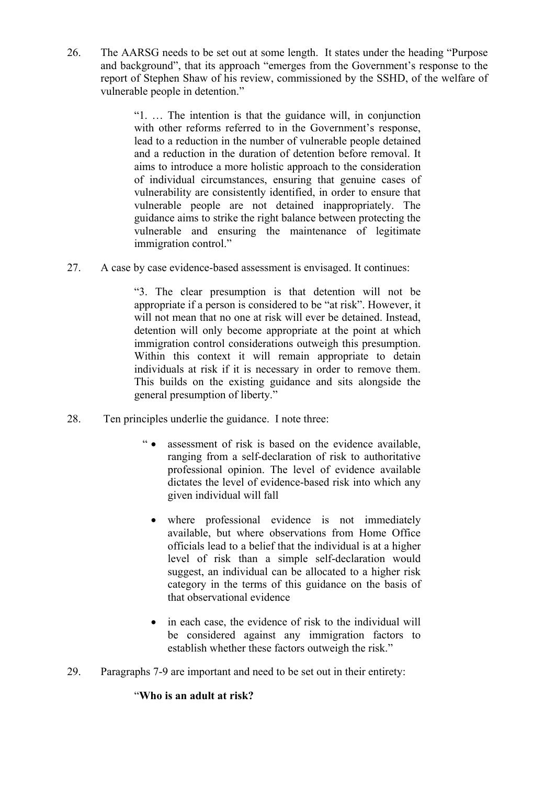26. The AARSG needs to be set out at some length. It states under the heading "Purpose" and background", that its approach "emerges from the Government's response to the report of Stephen Shaw of his review, commissioned by the SSHD, of the welfare of vulnerable people in detention."

> with other reforms referred to in the Government's response, "1. … The intention is that the guidance will, in conjunction lead to a reduction in the number of vulnerable people detained and a reduction in the duration of detention before removal. It aims to introduce a more holistic approach to the consideration of individual circumstances, ensuring that genuine cases of vulnerability are consistently identified, in order to ensure that vulnerable people are not detained inappropriately. The guidance aims to strike the right balance between protecting the vulnerable and ensuring the maintenance of legitimate immigration control."

27. A case by case evidence-based assessment is envisaged. It continues:

 individuals at risk if it is necessary in order to remove them. "3. The clear presumption is that detention will not be appropriate if a person is considered to be "at risk". However, it will not mean that no one at risk will ever be detained. Instead, detention will only become appropriate at the point at which immigration control considerations outweigh this presumption. Within this context it will remain appropriate to detain This builds on the existing guidance and sits alongside the general presumption of liberty."

- 28. Ten principles underlie the guidance. I note three:
	- " assessment of risk is based on the evidence available, ranging from a self-declaration of risk to authoritative professional opinion. The level of evidence available dictates the level of evidence-based risk into which any given individual will fall
		- available, but where observations from Home Office where professional evidence is not immediately officials lead to a belief that the individual is at a higher level of risk than a simple self-declaration would suggest, an individual can be allocated to a higher risk category in the terms of this guidance on the basis of that observational evidence
		- in each case, the evidence of risk to the individual will be considered against any immigration factors to establish whether these factors outweigh the risk."
- 29. Paragraphs 7-9 are important and need to be set out in their entirety:

### "**Who is an adult at risk?**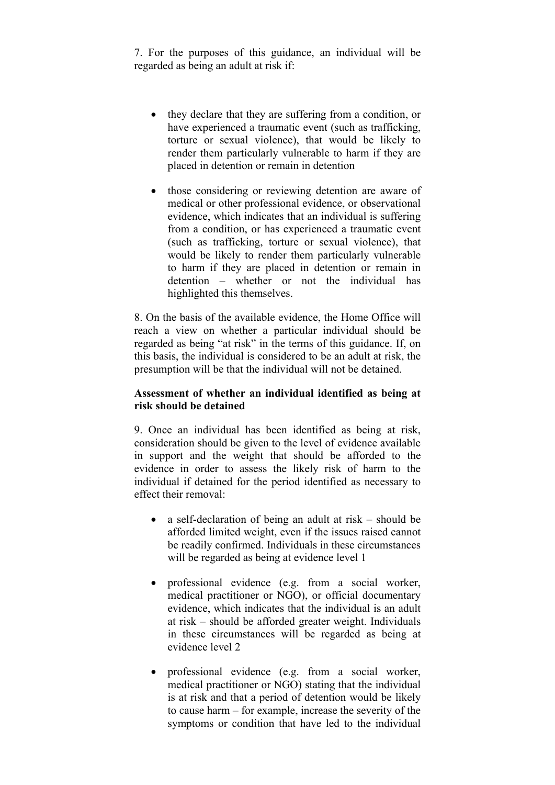7. For the purposes of this guidance, an individual will be regarded as being an adult at risk if:

- they declare that they are suffering from a condition, or have experienced a traumatic event (such as trafficking, torture or sexual violence), that would be likely to render them particularly vulnerable to harm if they are placed in detention or remain in detention
- from a condition, or has experienced a traumatic event • those considering or reviewing detention are aware of medical or other professional evidence, or observational evidence, which indicates that an individual is suffering (such as trafficking, torture or sexual violence), that would be likely to render them particularly vulnerable to harm if they are placed in detention or remain in detention – whether or not the individual has highlighted this themselves.

8. On the basis of the available evidence, the Home Office will reach a view on whether a particular individual should be regarded as being "at risk" in the terms of this guidance. If, on this basis, the individual is considered to be an adult at risk, the presumption will be that the individual will not be detained.

#### **Assessment of whether an individual identified as being at risk should be detained**

 individual if detained for the period identified as necessary to 9. Once an individual has been identified as being at risk, consideration should be given to the level of evidence available in support and the weight that should be afforded to the evidence in order to assess the likely risk of harm to the effect their removal:

- a self-declaration of being an adult at risk should be afforded limited weight, even if the issues raised cannot be readily confirmed. Individuals in these circumstances will be regarded as being at evidence level 1
- in these circumstances will be regarded as being at professional evidence (e.g. from a social worker, medical practitioner or NGO), or official documentary evidence, which indicates that the individual is an adult at risk – should be afforded greater weight. Individuals evidence level 2
- professional evidence (e.g. from a social worker, medical practitioner or NGO) stating that the individual is at risk and that a period of detention would be likely to cause harm – for example, increase the severity of the symptoms or condition that have led to the individual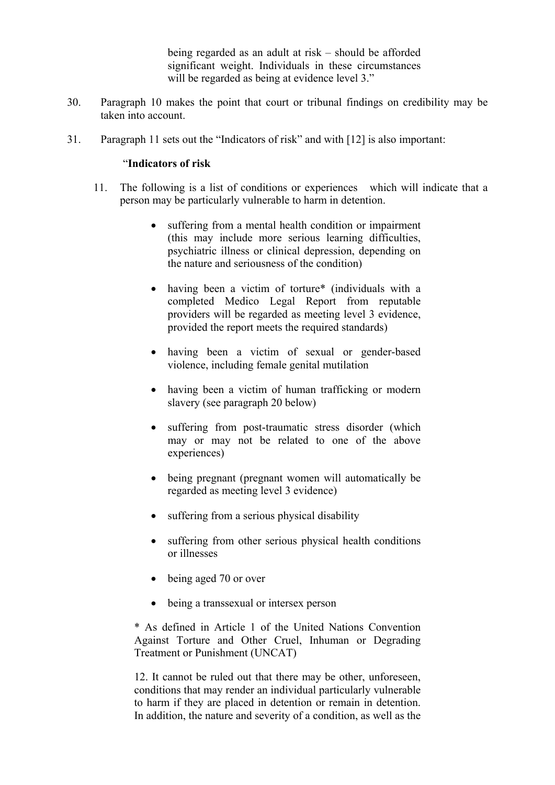being regarded as an adult at risk – should be afforded significant weight. Individuals in these circumstances will be regarded as being at evidence level 3."

- 30. Paragraph 10 makes the point that court or tribunal findings on credibility may be taken into account.
- 31. Paragraph 11 sets out the "Indicators of risk" and with [12] is also important:

#### "**Indicators of risk**

- 11. The following is a list of conditions or experiences which will indicate that a person may be particularly vulnerable to harm in detention.
	- suffering from a mental health condition or impairment (this may include more serious learning difficulties, psychiatric illness or clinical depression, depending on the nature and seriousness of the condition)
	- having been a victim of torture\* (individuals with a completed Medico Legal Report from reputable providers will be regarded as meeting level 3 evidence, provided the report meets the required standards)
	- having been a victim of sexual or gender-based violence, including female genital mutilation
	- having been a victim of human trafficking or modern slavery (see paragraph 20 below)
	- suffering from post-traumatic stress disorder (which may or may not be related to one of the above experiences)
	- being pregnant (pregnant women will automatically be regarded as meeting level 3 evidence)
	- suffering from a serious physical disability
	- suffering from other serious physical health conditions or illnesses
	- being aged 70 or over
	- being a transsexual or intersex person

\* As defined in Article 1 of the United Nations Convention Against Torture and Other Cruel, Inhuman or Degrading Treatment or Punishment (UNCAT)

12. It cannot be ruled out that there may be other, unforeseen, conditions that may render an individual particularly vulnerable to harm if they are placed in detention or remain in detention. In addition, the nature and severity of a condition, as well as the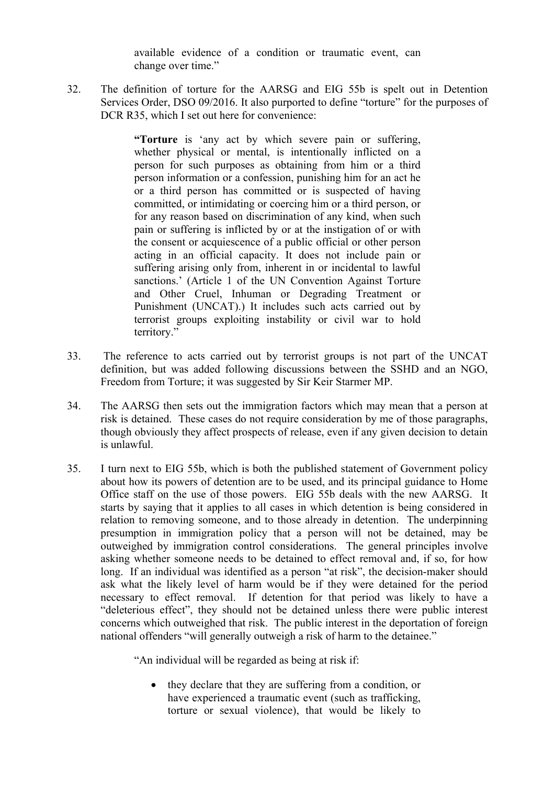available evidence of a condition or traumatic event, can change over time."

32. The definition of torture for the AARSG and EIG 55b is spelt out in Detention Services Order, DSO 09/2016. It also purported to define "torture" for the purposes of DCR R35, which I set out here for convenience:

> person for such purposes as obtaining from him or a third or a third person has committed or is suspected of having committed, or intimidating or coercing him or a third person, or sanctions.' (Article 1 of the UN Convention Against Torture Punishment (UNCAT).) It includes such acts carried out by **"Torture** is 'any act by which severe pain or suffering, whether physical or mental, is intentionally inflicted on a person information or a confession, punishing him for an act he for any reason based on discrimination of any kind, when such pain or suffering is inflicted by or at the instigation of or with the consent or acquiescence of a public official or other person acting in an official capacity. It does not include pain or suffering arising only from, inherent in or incidental to lawful and Other Cruel, Inhuman or Degrading Treatment or terrorist groups exploiting instability or civil war to hold territory."

- 33. The reference to acts carried out by terrorist groups is not part of the UNCAT definition, but was added following discussions between the SSHD and an NGO, Freedom from Torture; it was suggested by Sir Keir Starmer MP.
- 34. The AARSG then sets out the immigration factors which may mean that a person at risk is detained. These cases do not require consideration by me of those paragraphs, though obviously they affect prospects of release, even if any given decision to detain is unlawful.
- presumption in immigration policy that a person will not be detained, may be 35. I turn next to EIG 55b, which is both the published statement of Government policy about how its powers of detention are to be used, and its principal guidance to Home Office staff on the use of those powers. EIG 55b deals with the new AARSG. It starts by saying that it applies to all cases in which detention is being considered in relation to removing someone, and to those already in detention. The underpinning outweighed by immigration control considerations. The general principles involve asking whether someone needs to be detained to effect removal and, if so, for how long. If an individual was identified as a person "at risk", the decision-maker should ask what the likely level of harm would be if they were detained for the period necessary to effect removal. If detention for that period was likely to have a "deleterious effect", they should not be detained unless there were public interest concerns which outweighed that risk. The public interest in the deportation of foreign national offenders "will generally outweigh a risk of harm to the detainee."

"An individual will be regarded as being at risk if:

• they declare that they are suffering from a condition, or have experienced a traumatic event (such as trafficking, torture or sexual violence), that would be likely to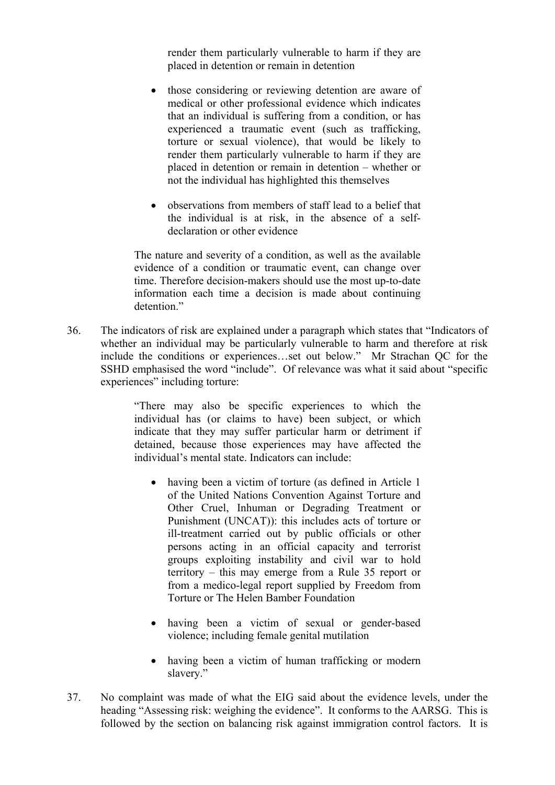render them particularly vulnerable to harm if they are placed in detention or remain in detention

- that an individual is suffering from a condition, or has experienced a traumatic event (such as trafficking, • those considering or reviewing detention are aware of medical or other professional evidence which indicates torture or sexual violence), that would be likely to render them particularly vulnerable to harm if they are placed in detention or remain in detention – whether or not the individual has highlighted this themselves
- the individual is at risk, in the absence of a self- observations from members of staff lead to a belief that declaration or other evidence

The nature and severity of a condition, as well as the available evidence of a condition or traumatic event, can change over time. Therefore decision-makers should use the most up-to-date information each time a decision is made about continuing detention."

36. The indicators of risk are explained under a paragraph which states that "Indicators of whether an individual may be particularly vulnerable to harm and therefore at risk include the conditions or experiences…set out below." Mr Strachan QC for the SSHD emphasised the word "include". Of relevance was what it said about "specific experiences" including torture:

> detained, because those experiences may have affected the "There may also be specific experiences to which the individual has (or claims to have) been subject, or which indicate that they may suffer particular harm or detriment if individual's mental state. Indicators can include:

- having been a victim of torture (as defined in Article 1 from a medico-legal report supplied by Freedom from of the United Nations Convention Against Torture and Other Cruel, Inhuman or Degrading Treatment or Punishment (UNCAT)): this includes acts of torture or ill-treatment carried out by public officials or other persons acting in an official capacity and terrorist groups exploiting instability and civil war to hold territory – this may emerge from a Rule 35 report or Torture or The Helen Bamber Foundation
- having been a victim of sexual or gender-based violence; including female genital mutilation
- having been a victim of human trafficking or modern slavery."
- 37. No complaint was made of what the EIG said about the evidence levels, under the heading "Assessing risk: weighing the evidence". It conforms to the AARSG. This is followed by the section on balancing risk against immigration control factors. It is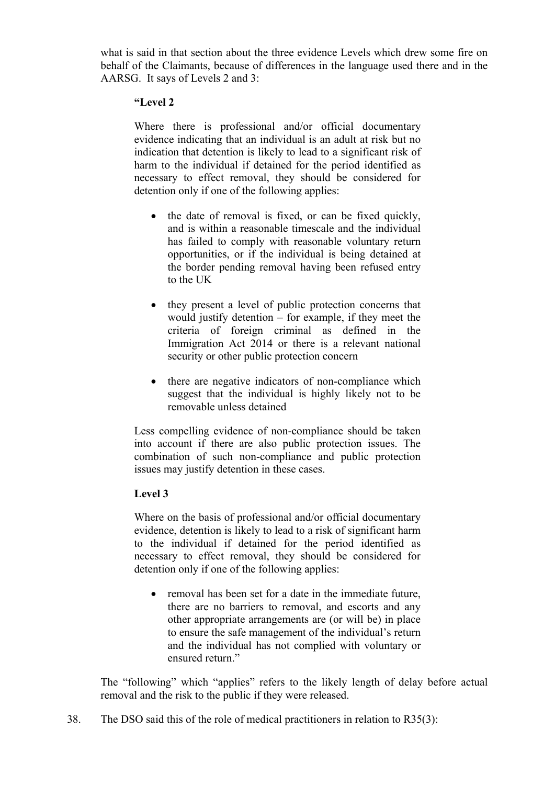what is said in that section about the three evidence Levels which drew some fire on behalf of the Claimants, because of differences in the language used there and in the AARSG. It says of Levels 2 and 3:

#### **"Level 2**

Where there is professional and/or official documentary evidence indicating that an individual is an adult at risk but no indication that detention is likely to lead to a significant risk of harm to the individual if detained for the period identified as necessary to effect removal, they should be considered for detention only if one of the following applies:

- the date of removal is fixed, or can be fixed quickly, and is within a reasonable timescale and the individual has failed to comply with reasonable voluntary return opportunities, or if the individual is being detained at the border pending removal having been refused entry to the UK
- they present a level of public protection concerns that would justify detention – for example, if they meet the criteria of foreign criminal as defined in the Immigration Act 2014 or there is a relevant national security or other public protection concern
- there are negative indicators of non-compliance which suggest that the individual is highly likely not to be removable unless detained

 into account if there are also public protection issues. The Less compelling evidence of non-compliance should be taken combination of such non-compliance and public protection issues may justify detention in these cases.

#### **Level 3**

Where on the basis of professional and/or official documentary evidence, detention is likely to lead to a risk of significant harm to the individual if detained for the period identified as necessary to effect removal, they should be considered for detention only if one of the following applies:

• removal has been set for a date in the immediate future. there are no barriers to removal, and escorts and any other appropriate arrangements are (or will be) in place to ensure the safe management of the individual's return and the individual has not complied with voluntary or ensured return."

 The "following" which "applies" refers to the likely length of delay before actual removal and the risk to the public if they were released.

38. The DSO said this of the role of medical practitioners in relation to R35(3):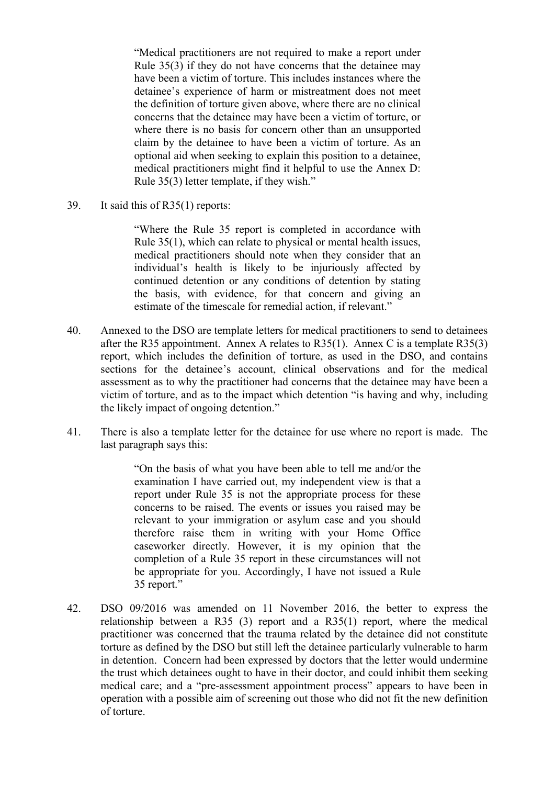have been a victim of torture. This includes instances where the detainee's experience of harm or mistreatment does not meet claim by the detainee to have been a victim of torture. As an "Medical practitioners are not required to make a report under Rule 35(3) if they do not have concerns that the detainee may the definition of torture given above, where there are no clinical concerns that the detainee may have been a victim of torture, or where there is no basis for concern other than an unsupported optional aid when seeking to explain this position to a detainee, medical practitioners might find it helpful to use the Annex D: Rule 35(3) letter template, if they wish."

39. It said this of R35(1) reports:

"Where the Rule 35 report is completed in accordance with Rule 35(1), which can relate to physical or mental health issues, medical practitioners should note when they consider that an individual's health is likely to be injuriously affected by continued detention or any conditions of detention by stating the basis, with evidence, for that concern and giving an estimate of the timescale for remedial action, if relevant."

- report, which includes the definition of torture, as used in the DSO, and contains 40. Annexed to the DSO are template letters for medical practitioners to send to detainees after the R35 appointment. Annex A relates to R35(1). Annex C is a template R35(3) sections for the detainee's account, clinical observations and for the medical assessment as to why the practitioner had concerns that the detainee may have been a victim of torture, and as to the impact which detention "is having and why, including the likely impact of ongoing detention."
- 41. There is also a template letter for the detainee for use where no report is made. The last paragraph says this:

"On the basis of what you have been able to tell me and/or the examination I have carried out, my independent view is that a report under Rule 35 is not the appropriate process for these concerns to be raised. The events or issues you raised may be relevant to your immigration or asylum case and you should therefore raise them in writing with your Home Office caseworker directly. However, it is my opinion that the completion of a Rule 35 report in these circumstances will not be appropriate for you. Accordingly, I have not issued a Rule 35 report."

42. DSO 09/2016 was amended on 11 November 2016, the better to express the relationship between a R35 (3) report and a R35(1) report, where the medical practitioner was concerned that the trauma related by the detainee did not constitute torture as defined by the DSO but still left the detainee particularly vulnerable to harm in detention. Concern had been expressed by doctors that the letter would undermine the trust which detainees ought to have in their doctor, and could inhibit them seeking medical care; and a "pre-assessment appointment process" appears to have been in operation with a possible aim of screening out those who did not fit the new definition of torture.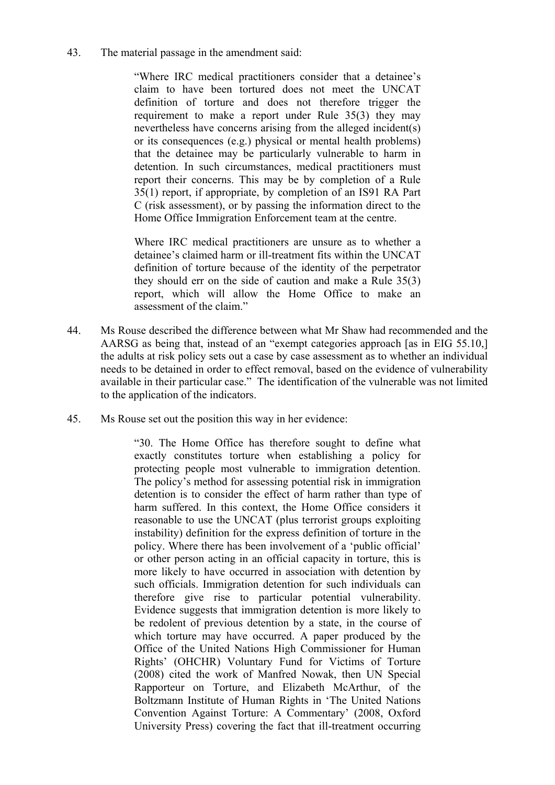43. The material passage in the amendment said:

 definition of torture and does not therefore trigger the that the detainee may be particularly vulnerable to harm in "Where IRC medical practitioners consider that a detainee's claim to have been tortured does not meet the UNCAT requirement to make a report under Rule 35(3) they may nevertheless have concerns arising from the alleged incident(s) or its consequences (e.g.) physical or mental health problems) detention. In such circumstances, medical practitioners must report their concerns. This may be by completion of a Rule 35(1) report, if appropriate, by completion of an IS91 RA Part C (risk assessment), or by passing the information direct to the Home Office Immigration Enforcement team at the centre.

 definition of torture because of the identity of the perpetrator Where IRC medical practitioners are unsure as to whether a detainee's claimed harm or ill-treatment fits within the UNCAT they should err on the side of caution and make a Rule 35(3) report, which will allow the Home Office to make an assessment of the claim."

- 44. Ms Rouse described the difference between what Mr Shaw had recommended and the AARSG as being that, instead of an "exempt categories approach [as in EIG 55.10,] the adults at risk policy sets out a case by case assessment as to whether an individual needs to be detained in order to effect removal, based on the evidence of vulnerability available in their particular case." The identification of the vulnerable was not limited to the application of the indicators.
- 45. Ms Rouse set out the position this way in her evidence:

 exactly constitutes torture when establishing a policy for or other person acting in an official capacity in torture, this is "30. The Home Office has therefore sought to define what protecting people most vulnerable to immigration detention. The policy's method for assessing potential risk in immigration detention is to consider the effect of harm rather than type of harm suffered. In this context, the Home Office considers it reasonable to use the UNCAT (plus terrorist groups exploiting instability) definition for the express definition of torture in the policy. Where there has been involvement of a 'public official' more likely to have occurred in association with detention by such officials. Immigration detention for such individuals can therefore give rise to particular potential vulnerability. Evidence suggests that immigration detention is more likely to be redolent of previous detention by a state, in the course of which torture may have occurred. A paper produced by the Office of the United Nations High Commissioner for Human Rights' (OHCHR) Voluntary Fund for Victims of Torture (2008) cited the work of Manfred Nowak, then UN Special Rapporteur on Torture, and Elizabeth McArthur, of the Boltzmann Institute of Human Rights in 'The United Nations Convention Against Torture: A Commentary' (2008, Oxford University Press) covering the fact that ill-treatment occurring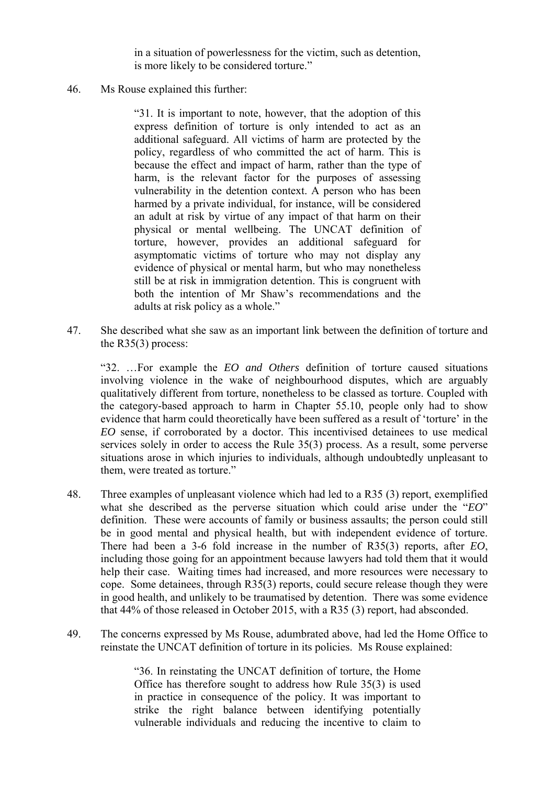in a situation of powerlessness for the victim, such as detention, is more likely to be considered torture."

46. Ms Rouse explained this further:

 express definition of torture is only intended to act as an "31. It is important to note, however, that the adoption of this additional safeguard. All victims of harm are protected by the policy, regardless of who committed the act of harm. This is because the effect and impact of harm, rather than the type of harm, is the relevant factor for the purposes of assessing vulnerability in the detention context. A person who has been harmed by a private individual, for instance, will be considered an adult at risk by virtue of any impact of that harm on their physical or mental wellbeing. The UNCAT definition of torture, however, provides an additional safeguard for asymptomatic victims of torture who may not display any evidence of physical or mental harm, but who may nonetheless still be at risk in immigration detention. This is congruent with both the intention of Mr Shaw's recommendations and the adults at risk policy as a whole."

47. She described what she saw as an important link between the definition of torture and the R35(3) process:

"32. …For example the *EO and Others* definition of torture caused situations involving violence in the wake of neighbourhood disputes, which are arguably qualitatively different from torture, nonetheless to be classed as torture. Coupled with the category-based approach to harm in Chapter 55.10, people only had to show evidence that harm could theoretically have been suffered as a result of 'torture' in the *EO* sense, if corroborated by a doctor. This incentivised detainees to use medical services solely in order to access the Rule 35(3) process. As a result, some perverse situations arose in which injuries to individuals, although undoubtedly unpleasant to them, were treated as torture."

- 48. Three examples of unpleasant violence which had led to a R35 (3) report, exemplified what she described as the perverse situation which could arise under the "*EO*" definition. These were accounts of family or business assaults; the person could still be in good mental and physical health, but with independent evidence of torture. There had been a 3-6 fold increase in the number of R35(3) reports, after *EO*, including those going for an appointment because lawyers had told them that it would help their case. Waiting times had increased, and more resources were necessary to cope. Some detainees, through R35(3) reports, could secure release though they were in good health, and unlikely to be traumatised by detention. There was some evidence that 44% of those released in October 2015, with a R35 (3) report, had absconded.
- 49. The concerns expressed by Ms Rouse, adumbrated above, had led the Home Office to reinstate the UNCAT definition of torture in its policies. Ms Rouse explained:

 strike the right balance between identifying potentially "36. In reinstating the UNCAT definition of torture, the Home Office has therefore sought to address how Rule 35(3) is used in practice in consequence of the policy. It was important to vulnerable individuals and reducing the incentive to claim to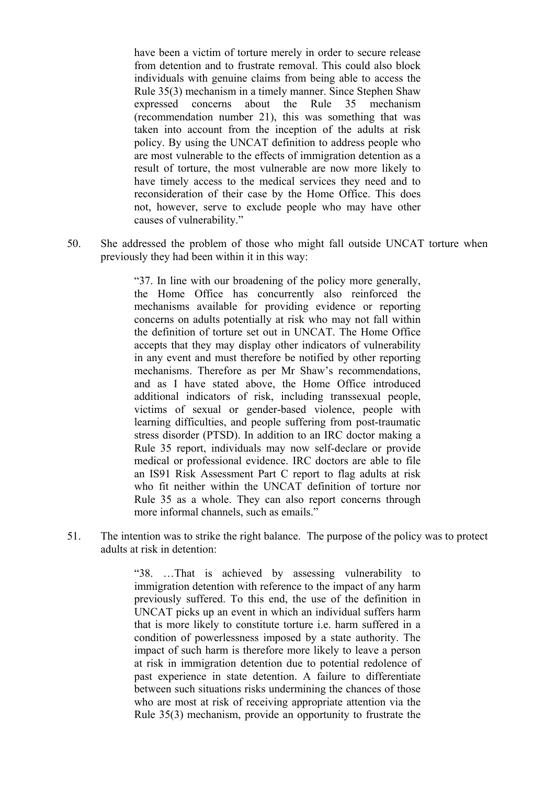have been a victim of torture merely in order to secure release Rule 35(3) mechanism in a timely manner. Since Stephen Shaw from detention and to frustrate removal. This could also block individuals with genuine claims from being able to access the expressed concerns about the Rule 35 mechanism (recommendation number 21), this was something that was taken into account from the inception of the adults at risk policy. By using the UNCAT definition to address people who are most vulnerable to the effects of immigration detention as a result of torture, the most vulnerable are now more likely to have timely access to the medical services they need and to reconsideration of their case by the Home Office. This does not, however, serve to exclude people who may have other causes of vulnerability."

50. She addressed the problem of those who might fall outside UNCAT torture when previously they had been within it in this way:

> the Home Office has concurrently also reinforced the accepts that they may display other indicators of vulnerability "37. In line with our broadening of the policy more generally, mechanisms available for providing evidence or reporting concerns on adults potentially at risk who may not fall within the definition of torture set out in UNCAT. The Home Office in any event and must therefore be notified by other reporting mechanisms. Therefore as per Mr Shaw's recommendations, and as I have stated above, the Home Office introduced additional indicators of risk, including transsexual people, victims of sexual or gender-based violence, people with learning difficulties, and people suffering from post-traumatic stress disorder (PTSD). In addition to an IRC doctor making a Rule 35 report, individuals may now self-declare or provide medical or professional evidence. IRC doctors are able to file an IS91 Risk Assessment Part C report to flag adults at risk who fit neither within the UNCAT definition of torture nor Rule 35 as a whole. They can also report concerns through more informal channels, such as emails."

51. The intention was to strike the right balance. The purpose of the policy was to protect adults at risk in detention:

> "38. …That is achieved by assessing vulnerability to immigration detention with reference to the impact of any harm previously suffered. To this end, the use of the definition in UNCAT picks up an event in which an individual suffers harm that is more likely to constitute torture i.e. harm suffered in a condition of powerlessness imposed by a state authority. The impact of such harm is therefore more likely to leave a person at risk in immigration detention due to potential redolence of past experience in state detention. A failure to differentiate between such situations risks undermining the chances of those who are most at risk of receiving appropriate attention via the Rule 35(3) mechanism, provide an opportunity to frustrate the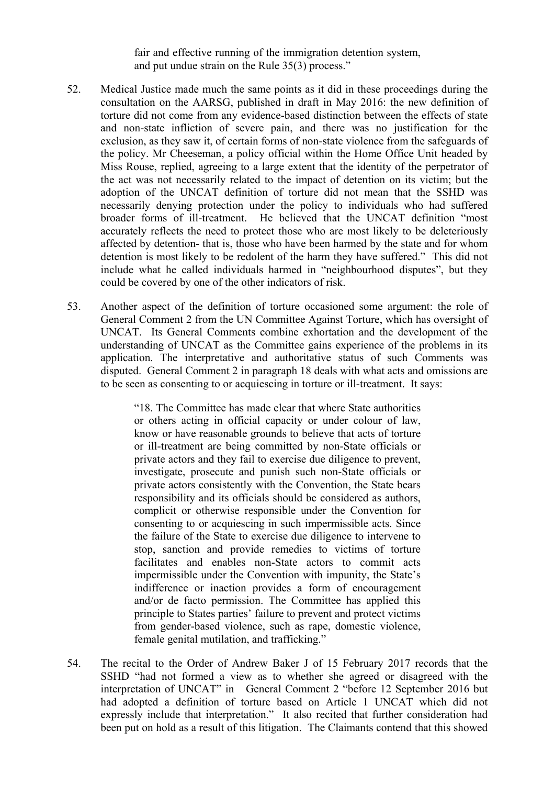fair and effective running of the immigration detention system, and put undue strain on the Rule 35(3) process."

- torture did not come from any evidence-based distinction between the effects of state Miss Rouse, replied, agreeing to a large extent that the identity of the perpetrator of adoption of the UNCAT definition of torture did not mean that the SSHD was 52. Medical Justice made much the same points as it did in these proceedings during the consultation on the AARSG, published in draft in May 2016: the new definition of and non-state infliction of severe pain, and there was no justification for the exclusion, as they saw it, of certain forms of non-state violence from the safeguards of the policy. Mr Cheeseman, a policy official within the Home Office Unit headed by the act was not necessarily related to the impact of detention on its victim; but the necessarily denying protection under the policy to individuals who had suffered broader forms of ill-treatment. He believed that the UNCAT definition "most accurately reflects the need to protect those who are most likely to be deleteriously affected by detention- that is, those who have been harmed by the state and for whom detention is most likely to be redolent of the harm they have suffered." This did not include what he called individuals harmed in "neighbourhood disputes", but they could be covered by one of the other indicators of risk.
- understanding of UNCAT as the Committee gains experience of the problems in its 53. Another aspect of the definition of torture occasioned some argument: the role of General Comment 2 from the UN Committee Against Torture, which has oversight of UNCAT. Its General Comments combine exhortation and the development of the application. The interpretative and authoritative status of such Comments was disputed. General Comment 2 in paragraph 18 deals with what acts and omissions are to be seen as consenting to or acquiescing in torture or ill-treatment. It says:

"18. The Committee has made clear that where State authorities or others acting in official capacity or under colour of law, know or have reasonable grounds to believe that acts of torture or ill-treatment are being committed by non-State officials or private actors and they fail to exercise due diligence to prevent, investigate, prosecute and punish such non-State officials or private actors consistently with the Convention, the State bears responsibility and its officials should be considered as authors, complicit or otherwise responsible under the Convention for consenting to or acquiescing in such impermissible acts. Since the failure of the State to exercise due diligence to intervene to stop, sanction and provide remedies to victims of torture facilitates and enables non-State actors to commit acts impermissible under the Convention with impunity, the State's indifference or inaction provides a form of encouragement and/or de facto permission. The Committee has applied this principle to States parties' failure to prevent and protect victims from gender-based violence, such as rape, domestic violence, female genital mutilation, and trafficking."

54. The recital to the Order of Andrew Baker J of 15 February 2017 records that the SSHD "had not formed a view as to whether she agreed or disagreed with the interpretation of UNCAT" in General Comment 2 "before 12 September 2016 but had adopted a definition of torture based on Article 1 UNCAT which did not expressly include that interpretation." It also recited that further consideration had been put on hold as a result of this litigation. The Claimants contend that this showed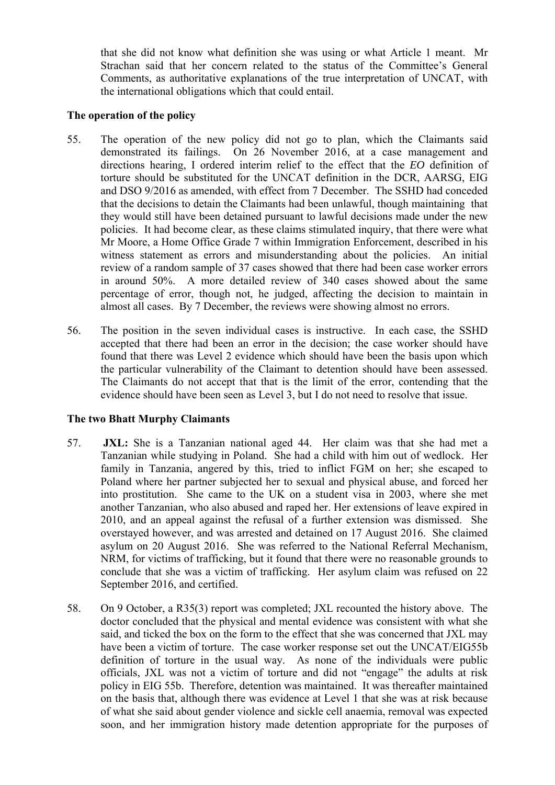that she did not know what definition she was using or what Article 1 meant. Mr Strachan said that her concern related to the status of the Committee's General Comments, as authoritative explanations of the true interpretation of UNCAT, with the international obligations which that could entail.

#### **The operation of the policy**

- witness statement as errors and misunderstanding about the policies. An initial in around 50%. A more detailed review of 340 cases showed about the same 55. The operation of the new policy did not go to plan, which the Claimants said demonstrated its failings. On 26 November 2016, at a case management and directions hearing, I ordered interim relief to the effect that the *EO* definition of torture should be substituted for the UNCAT definition in the DCR, AARSG, EIG and DSO 9/2016 as amended, with effect from 7 December. The SSHD had conceded that the decisions to detain the Claimants had been unlawful, though maintaining that they would still have been detained pursuant to lawful decisions made under the new policies. It had become clear, as these claims stimulated inquiry, that there were what Mr Moore, a Home Office Grade 7 within Immigration Enforcement, described in his review of a random sample of 37 cases showed that there had been case worker errors percentage of error, though not, he judged, affecting the decision to maintain in almost all cases. By 7 December, the reviews were showing almost no errors.
- 56. The position in the seven individual cases is instructive. In each case, the SSHD accepted that there had been an error in the decision; the case worker should have the particular vulnerability of the Claimant to detention should have been assessed. found that there was Level 2 evidence which should have been the basis upon which The Claimants do not accept that that is the limit of the error, contending that the evidence should have been seen as Level 3, but I do not need to resolve that issue.

### **The two Bhatt Murphy Claimants**

- 57. **JXL:** She is a Tanzanian national aged 44. Her claim was that she had met a Tanzanian while studying in Poland. She had a child with him out of wedlock. Her overstayed however, and was arrested and detained on 17 August 2016. She claimed conclude that she was a victim of trafficking. Her asylum claim was refused on 22 family in Tanzania, angered by this, tried to inflict FGM on her; she escaped to Poland where her partner subjected her to sexual and physical abuse, and forced her into prostitution. She came to the UK on a student visa in 2003, where she met another Tanzanian, who also abused and raped her. Her extensions of leave expired in 2010, and an appeal against the refusal of a further extension was dismissed. She asylum on 20 August 2016. She was referred to the National Referral Mechanism, NRM, for victims of trafficking, but it found that there were no reasonable grounds to September 2016, and certified.
- 58. On 9 October, a R35(3) report was completed; JXL recounted the history above. The have been a victim of torture. The case worker response set out the UNCAT/EIG55b doctor concluded that the physical and mental evidence was consistent with what she said, and ticked the box on the form to the effect that she was concerned that JXL may definition of torture in the usual way. As none of the individuals were public officials, JXL was not a victim of torture and did not "engage" the adults at risk policy in EIG 55b. Therefore, detention was maintained. It was thereafter maintained on the basis that, although there was evidence at Level 1 that she was at risk because of what she said about gender violence and sickle cell anaemia, removal was expected soon, and her immigration history made detention appropriate for the purposes of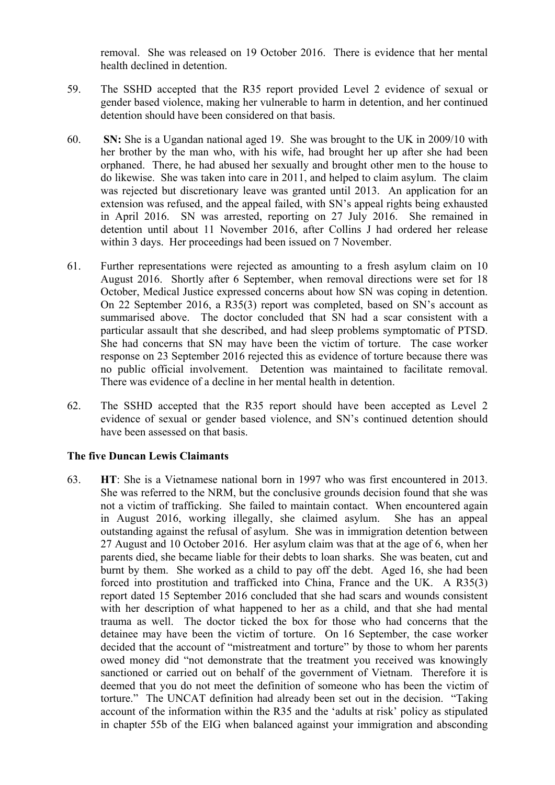removal. She was released on 19 October 2016. There is evidence that her mental health declined in detention.

- 59. The SSHD accepted that the R35 report provided Level 2 evidence of sexual or gender based violence, making her vulnerable to harm in detention, and her continued detention should have been considered on that basis.
- detention until about 11 November 2016, after Collins J had ordered her release 60. **SN:** She is a Ugandan national aged 19. She was brought to the UK in 2009/10 with her brother by the man who, with his wife, had brought her up after she had been orphaned. There, he had abused her sexually and brought other men to the house to do likewise. She was taken into care in 2011, and helped to claim asylum. The claim was rejected but discretionary leave was granted until 2013. An application for an extension was refused, and the appeal failed, with SN's appeal rights being exhausted in April 2016. SN was arrested, reporting on 27 July 2016. She remained in within 3 days. Her proceedings had been issued on 7 November.
- 61. Further representations were rejected as amounting to a fresh asylum claim on 10 summarised above. The doctor concluded that SN had a scar consistent with a She had concerns that SN may have been the victim of torture. The case worker August 2016. Shortly after 6 September, when removal directions were set for 18 October, Medical Justice expressed concerns about how SN was coping in detention. On 22 September 2016, a R35(3) report was completed, based on SN's account as particular assault that she described, and had sleep problems symptomatic of PTSD. response on 23 September 2016 rejected this as evidence of torture because there was no public official involvement. Detention was maintained to facilitate removal. There was evidence of a decline in her mental health in detention.
- 62. The SSHD accepted that the R35 report should have been accepted as Level 2 evidence of sexual or gender based violence, and SN's continued detention should have been assessed on that basis.

#### **The five Duncan Lewis Claimants**

 not a victim of trafficking. She failed to maintain contact. When encountered again in August 2016, working illegally, she claimed asylum. She has an appeal outstanding against the refusal of asylum. She was in immigration detention between 27 August and 10 October 2016. Her asylum claim was that at the age of 6, when her parents died, she became liable for their debts to loan sharks. She was beaten, cut and forced into prostitution and trafficked into China, France and the UK. A R35(3) with her description of what happened to her as a child, and that she had mental trauma as well. The doctor ticked the box for those who had concerns that the detainee may have been the victim of torture. On 16 September, the case worker sanctioned or carried out on behalf of the government of Vietnam. Therefore it is torture." The UNCAT definition had already been set out in the decision. "Taking 63. **HT**: She is a Vietnamese national born in 1997 who was first encountered in 2013. She was referred to the NRM, but the conclusive grounds decision found that she was burnt by them. She worked as a child to pay off the debt. Aged 16, she had been report dated 15 September 2016 concluded that she had scars and wounds consistent decided that the account of "mistreatment and torture" by those to whom her parents owed money did "not demonstrate that the treatment you received was knowingly deemed that you do not meet the definition of someone who has been the victim of account of the information within the R35 and the 'adults at risk' policy as stipulated in chapter 55b of the EIG when balanced against your immigration and absconding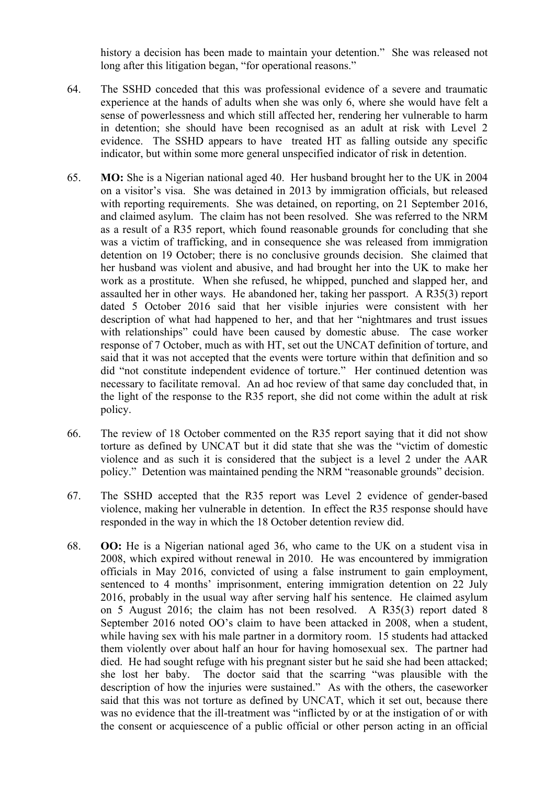history a decision has been made to maintain your detention." She was released not long after this litigation began, "for operational reasons."

- 64. The SSHD conceded that this was professional evidence of a severe and traumatic experience at the hands of adults when she was only 6, where she would have felt a sense of powerlessness and which still affected her, rendering her vulnerable to harm in detention; she should have been recognised as an adult at risk with Level 2 evidence. The SSHD appears to have treated HT as falling outside any specific indicator, but within some more general unspecified indicator of risk in detention.
- and claimed asylum. The claim has not been resolved. She was referred to the NRM as a result of a R35 report, which found reasonable grounds for concluding that she assaulted her in other ways. He abandoned her, taking her passport. A R35(3) report said that it was not accepted that the events were torture within that definition and so did "not constitute independent evidence of torture." Her continued detention was the light of the response to the R35 report, she did not come within the adult at risk 65. **MO:** She is a Nigerian national aged 40. Her husband brought her to the UK in 2004 on a visitor's visa. She was detained in 2013 by immigration officials, but released with reporting requirements. She was detained, on reporting, on 21 September 2016, was a victim of trafficking, and in consequence she was released from immigration detention on 19 October; there is no conclusive grounds decision. She claimed that her husband was violent and abusive, and had brought her into the UK to make her work as a prostitute. When she refused, he whipped, punched and slapped her, and dated 5 October 2016 said that her visible injuries were consistent with her description of what had happened to her, and that her "nightmares and trust issues with relationships" could have been caused by domestic abuse. The case worker response of 7 October, much as with HT, set out the UNCAT definition of torture, and necessary to facilitate removal. An ad hoc review of that same day concluded that, in policy.
- violence and as such it is considered that the subject is a level 2 under the AAR 66. The review of 18 October commented on the R35 report saying that it did not show torture as defined by UNCAT but it did state that she was the "victim of domestic policy." Detention was maintained pending the NRM "reasonable grounds" decision.
- 67. The SSHD accepted that the R35 report was Level 2 evidence of gender-based violence, making her vulnerable in detention. In effect the R35 response should have responded in the way in which the 18 October detention review did.
- on 5 August 2016; the claim has not been resolved. A R35(3) report dated 8 she lost her baby. The doctor said that the scarring "was plausible with the description of how the injuries were sustained." As with the others, the caseworker 68. **OO:** He is a Nigerian national aged 36, who came to the UK on a student visa in 2008, which expired without renewal in 2010. He was encountered by immigration officials in May 2016, convicted of using a false instrument to gain employment, sentenced to 4 months' imprisonment, entering immigration detention on 22 July 2016, probably in the usual way after serving half his sentence. He claimed asylum September 2016 noted OO's claim to have been attacked in 2008, when a student, while having sex with his male partner in a dormitory room. 15 students had attacked them violently over about half an hour for having homosexual sex. The partner had died. He had sought refuge with his pregnant sister but he said she had been attacked; said that this was not torture as defined by UNCAT, which it set out, because there was no evidence that the ill-treatment was "inflicted by or at the instigation of or with the consent or acquiescence of a public official or other person acting in an official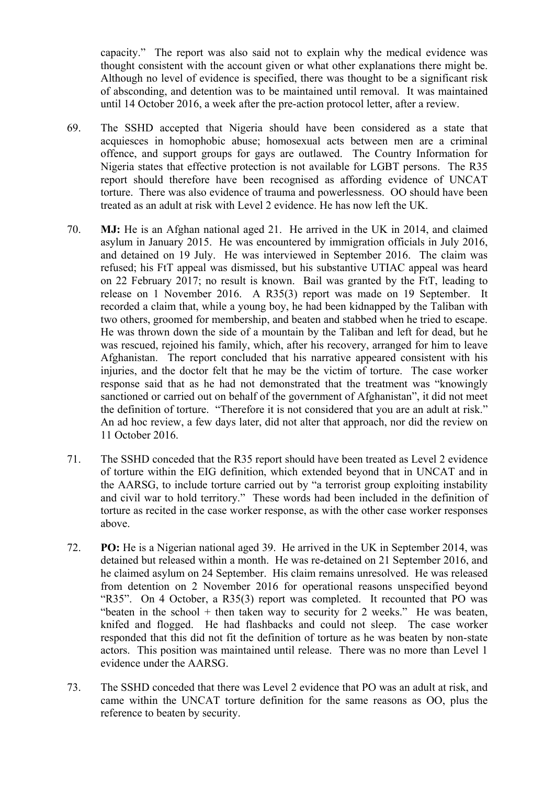of absconding, and detention was to be maintained until removal. It was maintained capacity." The report was also said not to explain why the medical evidence was thought consistent with the account given or what other explanations there might be. Although no level of evidence is specified, there was thought to be a significant risk until 14 October 2016, a week after the pre-action protocol letter, after a review.

- 69. The SSHD accepted that Nigeria should have been considered as a state that acquiesces in homophobic abuse; homosexual acts between men are a criminal offence, and support groups for gays are outlawed. The Country Information for Nigeria states that effective protection is not available for LGBT persons. The R35 report should therefore have been recognised as affording evidence of UNCAT torture. There was also evidence of trauma and powerlessness. OO should have been treated as an adult at risk with Level 2 evidence. He has now left the UK.
- release on 1 November 2016. A R35(3) report was made on 19 September. It recorded a claim that, while a young boy, he had been kidnapped by the Taliban with injuries, and the doctor felt that he may be the victim of torture. The case worker 70. **MJ:** He is an Afghan national aged 21. He arrived in the UK in 2014, and claimed asylum in January 2015. He was encountered by immigration officials in July 2016, and detained on 19 July. He was interviewed in September 2016. The claim was refused; his FtT appeal was dismissed, but his substantive UTIAC appeal was heard on 22 February 2017; no result is known. Bail was granted by the FtT, leading to two others, groomed for membership, and beaten and stabbed when he tried to escape. He was thrown down the side of a mountain by the Taliban and left for dead, but he was rescued, rejoined his family, which, after his recovery, arranged for him to leave Afghanistan. The report concluded that his narrative appeared consistent with his response said that as he had not demonstrated that the treatment was "knowingly sanctioned or carried out on behalf of the government of Afghanistan", it did not meet the definition of torture. "Therefore it is not considered that you are an adult at risk." An ad hoc review, a few days later, did not alter that approach, nor did the review on 11 October 2016.
- of torture within the EIG definition, which extended beyond that in UNCAT and in 71. The SSHD conceded that the R35 report should have been treated as Level 2 evidence the AARSG, to include torture carried out by "a terrorist group exploiting instability and civil war to hold territory." These words had been included in the definition of torture as recited in the case worker response, as with the other case worker responses above.
- 72. **PO:** He is a Nigerian national aged 39. He arrived in the UK in September 2014, was he claimed asylum on 24 September. His claim remains unresolved. He was released actors. This position was maintained until release. There was no more than Level 1 detained but released within a month. He was re-detained on 21 September 2016, and from detention on 2 November 2016 for operational reasons unspecified beyond "R35". On 4 October, a R35(3) report was completed. It recounted that PO was "beaten in the school + then taken way to security for 2 weeks." He was beaten, knifed and flogged. He had flashbacks and could not sleep. The case worker responded that this did not fit the definition of torture as he was beaten by non-state evidence under the AARSG.
- came within the UNCAT torture definition for the same reasons as OO, plus the 73. The SSHD conceded that there was Level 2 evidence that PO was an adult at risk, and reference to beaten by security.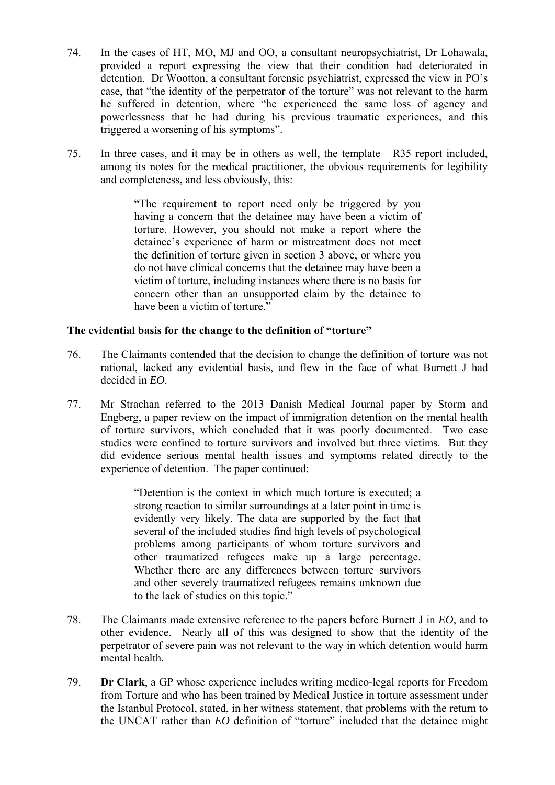- provided a report expressing the view that their condition had deteriorated in he suffered in detention, where "he experienced the same loss of agency and 74. In the cases of HT, MO, MJ and OO, a consultant neuropsychiatrist, Dr Lohawala, detention. Dr Wootton, a consultant forensic psychiatrist, expressed the view in PO's case, that "the identity of the perpetrator of the torture" was not relevant to the harm powerlessness that he had during his previous traumatic experiences, and this triggered a worsening of his symptoms".
- 75. In three cases, and it may be in others as well, the template R35 report included, among its notes for the medical practitioner, the obvious requirements for legibility and completeness, and less obviously, this:

 having a concern that the detainee may have been a victim of detainee's experience of harm or mistreatment does not meet "The requirement to report need only be triggered by you torture. However, you should not make a report where the the definition of torture given in section 3 above, or where you do not have clinical concerns that the detainee may have been a victim of torture, including instances where there is no basis for concern other than an unsupported claim by the detainee to have been a victim of torture."

### **The evidential basis for the change to the definition of "torture"**

- 76. The Claimants contended that the decision to change the definition of torture was not rational, lacked any evidential basis, and flew in the face of what Burnett J had decided in *EO*.
- 77. Mr Strachan referred to the 2013 Danish Medical Journal paper by Storm and Engberg, a paper review on the impact of immigration detention on the mental health of torture survivors, which concluded that it was poorly documented. Two case studies were confined to torture survivors and involved but three victims. But they did evidence serious mental health issues and symptoms related directly to the experience of detention. The paper continued:

 Whether there are any differences between torture survivors "Detention is the context in which much torture is executed; a strong reaction to similar surroundings at a later point in time is evidently very likely. The data are supported by the fact that several of the included studies find high levels of psychological problems among participants of whom torture survivors and other traumatized refugees make up a large percentage. and other severely traumatized refugees remains unknown due to the lack of studies on this topic."

- 78. The Claimants made extensive reference to the papers before Burnett J in *EO*, and to other evidence. Nearly all of this was designed to show that the identity of the perpetrator of severe pain was not relevant to the way in which detention would harm mental health.
- 79. **Dr Clark**, a GP whose experience includes writing medico-legal reports for Freedom from Torture and who has been trained by Medical Justice in torture assessment under the Istanbul Protocol, stated, in her witness statement, that problems with the return to the UNCAT rather than *EO* definition of "torture" included that the detainee might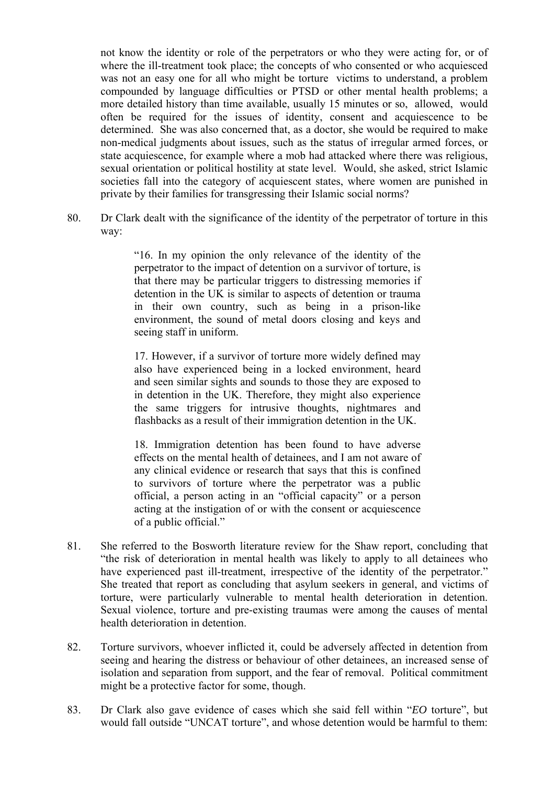was not an easy one for all who might be torture victims to understand, a problem more detailed history than time available, usually 15 minutes or so, allowed, would often be required for the issues of identity, consent and acquiescence to be not know the identity or role of the perpetrators or who they were acting for, or of where the ill-treatment took place; the concepts of who consented or who acquiesced compounded by language difficulties or PTSD or other mental health problems; a determined. She was also concerned that, as a doctor, she would be required to make non-medical judgments about issues, such as the status of irregular armed forces, or state acquiescence, for example where a mob had attacked where there was religious, sexual orientation or political hostility at state level. Would, she asked, strict Islamic societies fall into the category of acquiescent states, where women are punished in private by their families for transgressing their Islamic social norms?

80. Dr Clark dealt with the significance of the identity of the perpetrator of torture in this way:

> "16. In my opinion the only relevance of the identity of the perpetrator to the impact of detention on a survivor of torture, is that there may be particular triggers to distressing memories if detention in the UK is similar to aspects of detention or trauma in their own country, such as being in a prison-like environment, the sound of metal doors closing and keys and seeing staff in uniform.

> 17. However, if a survivor of torture more widely defined may also have experienced being in a locked environment, heard and seen similar sights and sounds to those they are exposed to in detention in the UK. Therefore, they might also experience the same triggers for intrusive thoughts, nightmares and flashbacks as a result of their immigration detention in the UK.

> effects on the mental health of detainees, and I am not aware of 18. Immigration detention has been found to have adverse any clinical evidence or research that says that this is confined to survivors of torture where the perpetrator was a public official, a person acting in an "official capacity" or a person acting at the instigation of or with the consent or acquiescence of a public official."

- have experienced past ill-treatment, irrespective of the identity of the perpetrator." have experienced past ill-treatment, irrespective of the identity of the perpetrator." She treated that report as concluding that asylum seekers in general, and victims of 81. She referred to the Bosworth literature review for the Shaw report, concluding that "the risk of deterioration in mental health was likely to apply to all detainees who torture, were particularly vulnerable to mental health deterioration in detention. Sexual violence, torture and pre-existing traumas were among the causes of mental health deterioration in detention.
- 82. Torture survivors, whoever inflicted it, could be adversely affected in detention from seeing and hearing the distress or behaviour of other detainees, an increased sense of isolation and separation from support, and the fear of removal. Political commitment might be a protective factor for some, though.
- 83. Dr Clark also gave evidence of cases which she said fell within "*EO* torture", but would fall outside "UNCAT torture", and whose detention would be harmful to them: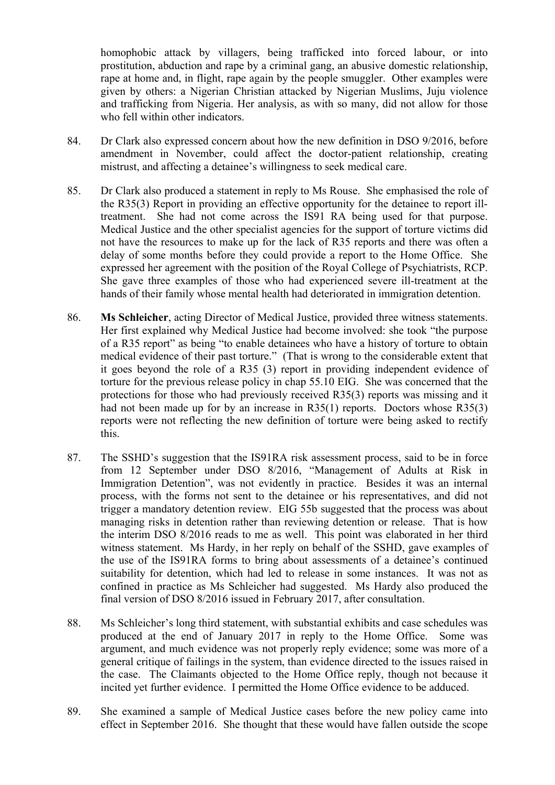rape at home and, in flight, rape again by the people smuggler. Other examples were homophobic attack by villagers, being trafficked into forced labour, or into prostitution, abduction and rape by a criminal gang, an abusive domestic relationship, given by others: a Nigerian Christian attacked by Nigerian Muslims, Juju violence and trafficking from Nigeria. Her analysis, as with so many, did not allow for those who fell within other indicators.

- 84. Dr Clark also expressed concern about how the new definition in DSO 9/2016, before amendment in November, could affect the doctor-patient relationship, creating mistrust, and affecting a detainee's willingness to seek medical care.
- the R35(3) Report in providing an effective opportunity for the detainee to report illexpressed her agreement with the position of the Royal College of Psychiatrists, RCP. 85. Dr Clark also produced a statement in reply to Ms Rouse. She emphasised the role of treatment. She had not come across the IS91 RA being used for that purpose. Medical Justice and the other specialist agencies for the support of torture victims did not have the resources to make up for the lack of R35 reports and there was often a delay of some months before they could provide a report to the Home Office. She She gave three examples of those who had experienced severe ill-treatment at the hands of their family whose mental health had deteriorated in immigration detention.
- 86. **Ms Schleicher**, acting Director of Medical Justice, provided three witness statements. Her first explained why Medical Justice had become involved: she took "the purpose had not been made up for by an increase in R35(1) reports. Doctors whose R35(3) of a R35 report" as being "to enable detainees who have a history of torture to obtain medical evidence of their past torture." (That is wrong to the considerable extent that it goes beyond the role of a R35 (3) report in providing independent evidence of torture for the previous release policy in chap 55.10 EIG. She was concerned that the protections for those who had previously received R35(3) reports was missing and it reports were not reflecting the new definition of torture were being asked to rectify this.
- Immigration Detention", was not evidently in practice. Besides it was an internal trigger a mandatory detention review. EIG 55b suggested that the process was about suitability for detention, which had led to release in some instances. It was not as 87. The SSHD's suggestion that the IS91RA risk assessment process, said to be in force from 12 September under DSO 8/2016, "Management of Adults at Risk in process, with the forms not sent to the detainee or his representatives, and did not managing risks in detention rather than reviewing detention or release. That is how the interim DSO 8/2016 reads to me as well. This point was elaborated in her third witness statement. Ms Hardy, in her reply on behalf of the SSHD, gave examples of the use of the IS91RA forms to bring about assessments of a detainee's continued confined in practice as Ms Schleicher had suggested. Ms Hardy also produced the final version of DSO 8/2016 issued in February 2017, after consultation.
- produced at the end of January 2017 in reply to the Home Office. Some was argument, and much evidence was not properly reply evidence; some was more of a general critique of failings in the system, than evidence directed to the issues raised in 88. Ms Schleicher's long third statement, with substantial exhibits and case schedules was the case. The Claimants objected to the Home Office reply, though not because it incited yet further evidence. I permitted the Home Office evidence to be adduced.
- 89. She examined a sample of Medical Justice cases before the new policy came into effect in September 2016. She thought that these would have fallen outside the scope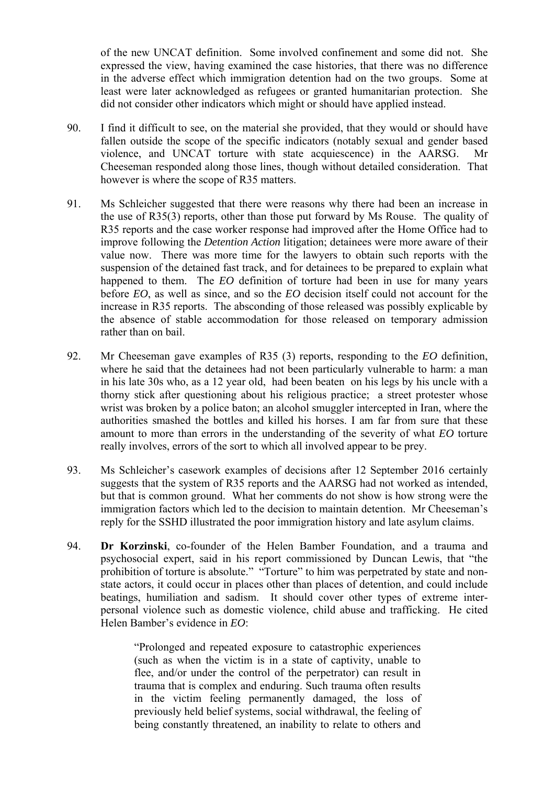of the new UNCAT definition. Some involved confinement and some did not. She expressed the view, having examined the case histories, that there was no difference in the adverse effect which immigration detention had on the two groups. Some at least were later acknowledged as refugees or granted humanitarian protection. She did not consider other indicators which might or should have applied instead.

- 90. I find it difficult to see, on the material she provided, that they would or should have fallen outside the scope of the specific indicators (notably sexual and gender based violence, and UNCAT torture with state acquiescence) in the AARSG. Mr Cheeseman responded along those lines, though without detailed consideration. That however is where the scope of R35 matters.
- improve following the *Detention Action* litigation; detainees were more aware of their value now. There was more time for the lawyers to obtain such reports with the happened to them. The *EO* definition of torture had been in use for many years 91. Ms Schleicher suggested that there were reasons why there had been an increase in the use of R35(3) reports, other than those put forward by Ms Rouse. The quality of R35 reports and the case worker response had improved after the Home Office had to suspension of the detained fast track, and for detainees to be prepared to explain what before *EO*, as well as since, and so the *EO* decision itself could not account for the increase in R35 reports. The absconding of those released was possibly explicable by the absence of stable accommodation for those released on temporary admission rather than on bail.
- authorities smashed the bottles and killed his horses. I am far from sure that these amount to more than errors in the understanding of the severity of what *EO* torture 92. Mr Cheeseman gave examples of R35 (3) reports, responding to the *EO* definition, where he said that the detainees had not been particularly vulnerable to harm: a man in his late 30s who, as a 12 year old, had been beaten on his legs by his uncle with a thorny stick after questioning about his religious practice; a street protester whose wrist was broken by a police baton; an alcohol smuggler intercepted in Iran, where the really involves, errors of the sort to which all involved appear to be prey.
- immigration factors which led to the decision to maintain detention. Mr Cheeseman's 93. Ms Schleicher's casework examples of decisions after 12 September 2016 certainly suggests that the system of R35 reports and the AARSG had not worked as intended, but that is common ground. What her comments do not show is how strong were the reply for the SSHD illustrated the poor immigration history and late asylum claims.
- personal violence such as domestic violence, child abuse and trafficking. He cited 94. **Dr Korzinski**, co-founder of the Helen Bamber Foundation, and a trauma and psychosocial expert, said in his report commissioned by Duncan Lewis, that "the prohibition of torture is absolute." "Torture" to him was perpetrated by state and nonstate actors, it could occur in places other than places of detention, and could include beatings, humiliation and sadism. It should cover other types of extreme inter-Helen Bamber's evidence in *EO*:

 in the victim feeling permanently damaged, the loss of "Prolonged and repeated exposure to catastrophic experiences (such as when the victim is in a state of captivity, unable to flee, and/or under the control of the perpetrator) can result in trauma that is complex and enduring. Such trauma often results previously held belief systems, social withdrawal, the feeling of being constantly threatened, an inability to relate to others and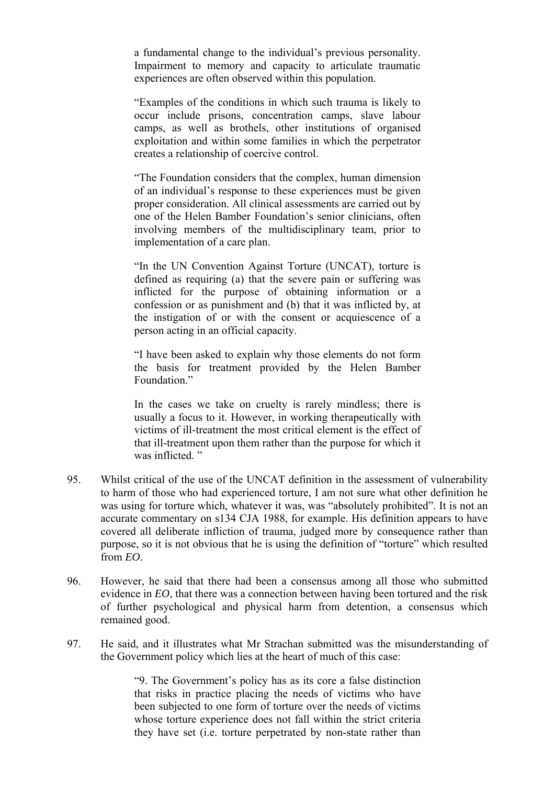a fundamental change to the individual's previous personality. Impairment to memory and capacity to articulate traumatic experiences are often observed within this population.

 camps, as well as brothels, other institutions of organised "Examples of the conditions in which such trauma is likely to occur include prisons, concentration camps, slave labour exploitation and within some families in which the perpetrator creates a relationship of coercive control.

"The Foundation considers that the complex, human dimension of an individual's response to these experiences must be given proper consideration. All clinical assessments are carried out by one of the Helen Bamber Foundation's senior clinicians, often involving members of the multidisciplinary team, prior to implementation of a care plan.

"In the UN Convention Against Torture (UNCAT), torture is defined as requiring (a) that the severe pain or suffering was inflicted for the purpose of obtaining information or a confession or as punishment and (b) that it was inflicted by, at the instigation of or with the consent or acquiescence of a person acting in an official capacity.

"I have been asked to explain why those elements do not form the basis for treatment provided by the Helen Bamber Foundation<sup>"</sup>

In the cases we take on cruelty is rarely mindless; there is usually a focus to it. However, in working therapeutically with victims of ill-treatment the most critical element is the effect of that ill-treatment upon them rather than the purpose for which it was inflicted."

- 95. Whilst critical of the use of the UNCAT definition in the assessment of vulnerability to harm of those who had experienced torture, I am not sure what other definition he was using for torture which, whatever it was, was "absolutely prohibited". It is not an accurate commentary on s134 CJA 1988, for example. His definition appears to have covered all deliberate infliction of trauma, judged more by consequence rather than purpose, so it is not obvious that he is using the definition of "torture" which resulted from *EO*.
- evidence in *EO*, that there was a connection between having been tortured and the risk of further psychological and physical harm from detention, a consensus which 96. However, he said that there had been a consensus among all those who submitted remained good.
- 97. He said, and it illustrates what Mr Strachan submitted was the misunderstanding of the Government policy which lies at the heart of much of this case:

"9. The Government's policy has as its core a false distinction that risks in practice placing the needs of victims who have been subjected to one form of torture over the needs of victims whose torture experience does not fall within the strict criteria they have set (i.e. torture perpetrated by non-state rather than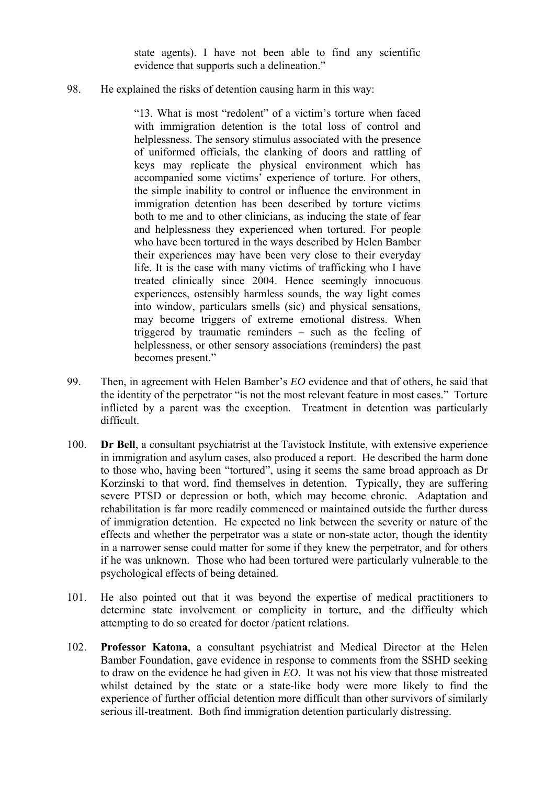state agents). I have not been able to find any scientific evidence that supports such a delineation."

98. He explained the risks of detention causing harm in this way:

 life. It is the case with many victims of trafficking who I have "13. What is most "redolent" of a victim's torture when faced with immigration detention is the total loss of control and helplessness. The sensory stimulus associated with the presence of uniformed officials, the clanking of doors and rattling of keys may replicate the physical environment which has accompanied some victims' experience of torture. For others, the simple inability to control or influence the environment in immigration detention has been described by torture victims both to me and to other clinicians, as inducing the state of fear and helplessness they experienced when tortured. For people who have been tortured in the ways described by Helen Bamber their experiences may have been very close to their everyday treated clinically since 2004. Hence seemingly innocuous experiences, ostensibly harmless sounds, the way light comes into window, particulars smells (sic) and physical sensations, may become triggers of extreme emotional distress. When triggered by traumatic reminders – such as the feeling of helplessness, or other sensory associations (reminders) the past becomes present."

- difficult. 99. Then, in agreement with Helen Bamber's *EO* evidence and that of others, he said that the identity of the perpetrator "is not the most relevant feature in most cases." Torture inflicted by a parent was the exception. Treatment in detention was particularly
- severe PTSD or depression or both, which may become chronic. Adaptation and 100. **Dr Bell**, a consultant psychiatrist at the Tavistock Institute, with extensive experience in immigration and asylum cases, also produced a report. He described the harm done to those who, having been "tortured", using it seems the same broad approach as Dr Korzinski to that word, find themselves in detention. Typically, they are suffering rehabilitation is far more readily commenced or maintained outside the further duress of immigration detention. He expected no link between the severity or nature of the effects and whether the perpetrator was a state or non-state actor, though the identity in a narrower sense could matter for some if they knew the perpetrator, and for others if he was unknown. Those who had been tortured were particularly vulnerable to the psychological effects of being detained.
- 101. He also pointed out that it was beyond the expertise of medical practitioners to determine state involvement or complicity in torture, and the difficulty which attempting to do so created for doctor /patient relations.
- experience of further official detention more difficult than other survivors of similarly 102. **Professor Katona**, a consultant psychiatrist and Medical Director at the Helen Bamber Foundation, gave evidence in response to comments from the SSHD seeking to draw on the evidence he had given in *EO*. It was not his view that those mistreated whilst detained by the state or a state-like body were more likely to find the serious ill-treatment. Both find immigration detention particularly distressing.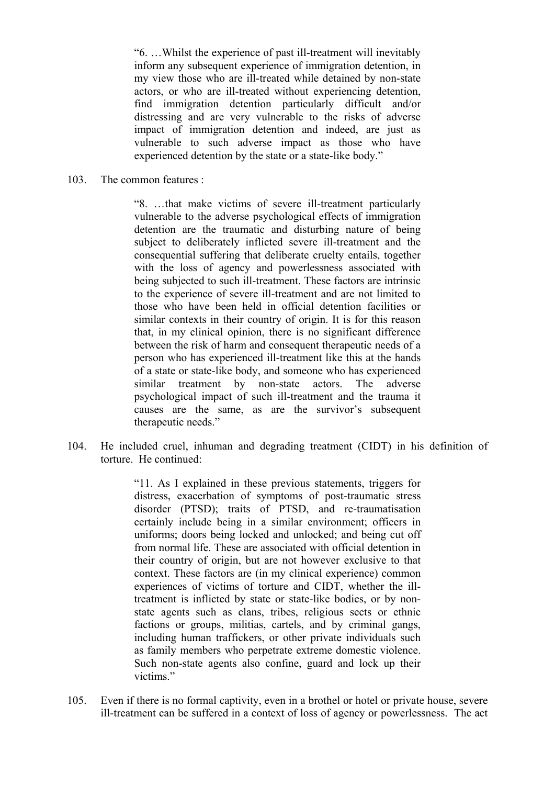"6. …Whilst the experience of past ill-treatment will inevitably inform any subsequent experience of immigration detention, in my view those who are ill-treated while detained by non-state actors, or who are ill-treated without experiencing detention, find immigration detention particularly difficult and/or distressing and are very vulnerable to the risks of adverse impact of immigration detention and indeed, are just as vulnerable to such adverse impact as those who have experienced detention by the state or a state-like body."

103. The common features :

"8. …that make victims of severe ill-treatment particularly vulnerable to the adverse psychological effects of immigration detention are the traumatic and disturbing nature of being subject to deliberately inflicted severe ill-treatment and the consequential suffering that deliberate cruelty entails, together with the loss of agency and powerlessness associated with being subjected to such ill-treatment. These factors are intrinsic to the experience of severe ill-treatment and are not limited to those who have been held in official detention facilities or similar contexts in their country of origin. It is for this reason that, in my clinical opinion, there is no significant difference between the risk of harm and consequent therapeutic needs of a person who has experienced ill-treatment like this at the hands of a state or state-like body, and someone who has experienced similar treatment by non-state actors. The adverse psychological impact of such ill-treatment and the trauma it causes are the same, as are the survivor's subsequent therapeutic needs."

104. He included cruel, inhuman and degrading treatment (CIDT) in his definition of torture. He continued:

> treatment is inflicted by state or state-like bodies, or by non- state agents such as clans, tribes, religious sects or ethnic "11. As I explained in these previous statements, triggers for distress, exacerbation of symptoms of post-traumatic stress disorder (PTSD); traits of PTSD, and re-traumatisation certainly include being in a similar environment; officers in uniforms; doors being locked and unlocked; and being cut off from normal life. These are associated with official detention in their country of origin, but are not however exclusive to that context. These factors are (in my clinical experience) common experiences of victims of torture and CIDT, whether the illfactions or groups, militias, cartels, and by criminal gangs, including human traffickers, or other private individuals such as family members who perpetrate extreme domestic violence. Such non-state agents also confine, guard and lock up their victims."

 ill-treatment can be suffered in a context of loss of agency or powerlessness. The act 105. Even if there is no formal captivity, even in a brothel or hotel or private house, severe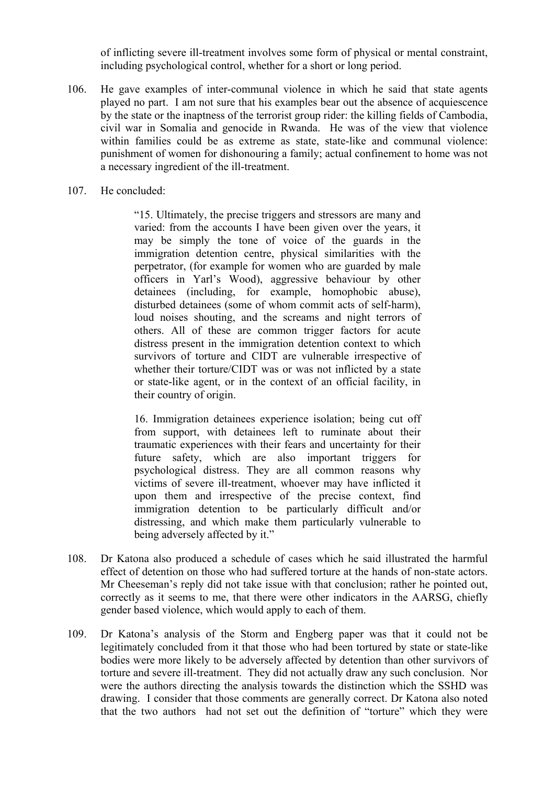of inflicting severe ill-treatment involves some form of physical or mental constraint, including psychological control, whether for a short or long period.

- played no part. I am not sure that his examples bear out the absence of acquiescence punishment of women for dishonouring a family; actual confinement to home was not 106. He gave examples of inter-communal violence in which he said that state agents by the state or the inaptness of the terrorist group rider: the killing fields of Cambodia, civil war in Somalia and genocide in Rwanda. He was of the view that violence within families could be as extreme as state, state-like and communal violence: a necessary ingredient of the ill-treatment.
- 107. He concluded:

 or state-like agent, or in the context of an official facility, in "15. Ultimately, the precise triggers and stressors are many and varied: from the accounts I have been given over the years, it may be simply the tone of voice of the guards in the immigration detention centre, physical similarities with the perpetrator, (for example for women who are guarded by male officers in Yarl's Wood), aggressive behaviour by other detainees (including, for example, homophobic abuse), disturbed detainees (some of whom commit acts of self-harm), loud noises shouting, and the screams and night terrors of others. All of these are common trigger factors for acute distress present in the immigration detention context to which survivors of torture and CIDT are vulnerable irrespective of whether their torture/CIDT was or was not inflicted by a state their country of origin.

 immigration detention to be particularly difficult and/or 16. Immigration detainees experience isolation; being cut off from support, with detainees left to ruminate about their traumatic experiences with their fears and uncertainty for their future safety, which are also important triggers for psychological distress. They are all common reasons why victims of severe ill-treatment, whoever may have inflicted it upon them and irrespective of the precise context, find distressing, and which make them particularly vulnerable to being adversely affected by it."

- 108. Dr Katona also produced a schedule of cases which he said illustrated the harmful effect of detention on those who had suffered torture at the hands of non-state actors. Mr Cheeseman's reply did not take issue with that conclusion; rather he pointed out, correctly as it seems to me, that there were other indicators in the AARSG, chiefly gender based violence, which would apply to each of them.
- were the authors directing the analysis towards the distinction which the SSHD was drawing. I consider that those comments are generally correct. Dr Katona also noted that the two authors had not set out the definition of "torture" which they were 109. Dr Katona's analysis of the Storm and Engberg paper was that it could not be legitimately concluded from it that those who had been tortured by state or state-like bodies were more likely to be adversely affected by detention than other survivors of torture and severe ill-treatment. They did not actually draw any such conclusion. Nor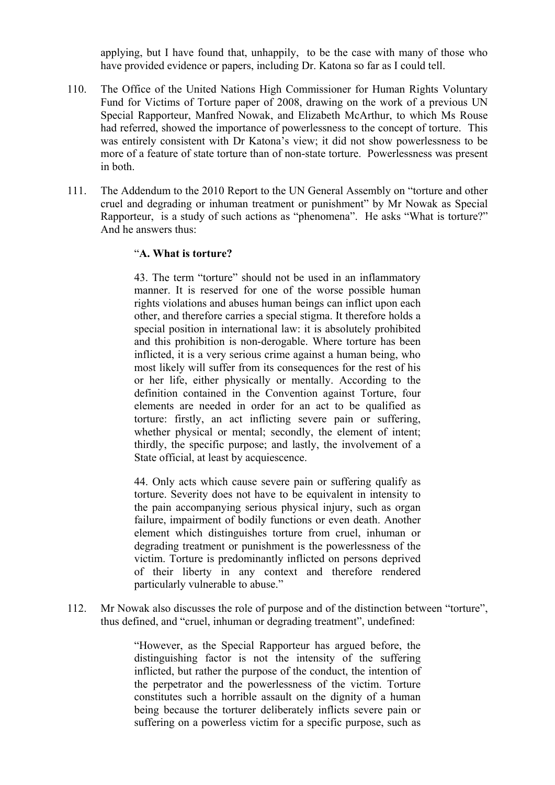applying, but I have found that, unhappily, to be the case with many of those who have provided evidence or papers, including Dr. Katona so far as I could tell.

- 110. The Office of the United Nations High Commissioner for Human Rights Voluntary Fund for Victims of Torture paper of 2008, drawing on the work of a previous UN Special Rapporteur, Manfred Nowak, and Elizabeth McArthur, to which Ms Rouse had referred, showed the importance of powerlessness to the concept of torture. This was entirely consistent with Dr Katona's view; it did not show powerlessness to be more of a feature of state torture than of non-state torture. Powerlessness was present in both.
- Rapporteur, is a study of such actions as "phenomena". He asks "What is torture?" And he answers thus: 111. The Addendum to the 2010 Report to the UN General Assembly on "torture and other cruel and degrading or inhuman treatment or punishment" by Mr Nowak as Special

#### "**A. What is torture?**

 other, and therefore carries a special stigma. It therefore holds a inflicted, it is a very serious crime against a human being, who most likely will suffer from its consequences for the rest of his 43. The term "torture" should not be used in an inflammatory manner. It is reserved for one of the worse possible human rights violations and abuses human beings can inflict upon each special position in international law: it is absolutely prohibited and this prohibition is non-derogable. Where torture has been or her life, either physically or mentally. According to the definition contained in the Convention against Torture, four elements are needed in order for an act to be qualified as torture: firstly, an act inflicting severe pain or suffering, whether physical or mental; secondly, the element of intent; thirdly, the specific purpose; and lastly, the involvement of a State official, at least by acquiescence.

44. Only acts which cause severe pain or suffering qualify as torture. Severity does not have to be equivalent in intensity to the pain accompanying serious physical injury, such as organ failure, impairment of bodily functions or even death. Another element which distinguishes torture from cruel, inhuman or degrading treatment or punishment is the powerlessness of the victim. Torture is predominantly inflicted on persons deprived of their liberty in any context and therefore rendered particularly vulnerable to abuse."

112. Mr Nowak also discusses the role of purpose and of the distinction between "torture", thus defined, and "cruel, inhuman or degrading treatment", undefined:

> suffering on a powerless victim for a specific purpose, such as "However, as the Special Rapporteur has argued before, the distinguishing factor is not the intensity of the suffering inflicted, but rather the purpose of the conduct, the intention of the perpetrator and the powerlessness of the victim. Torture constitutes such a horrible assault on the dignity of a human being because the torturer deliberately inflicts severe pain or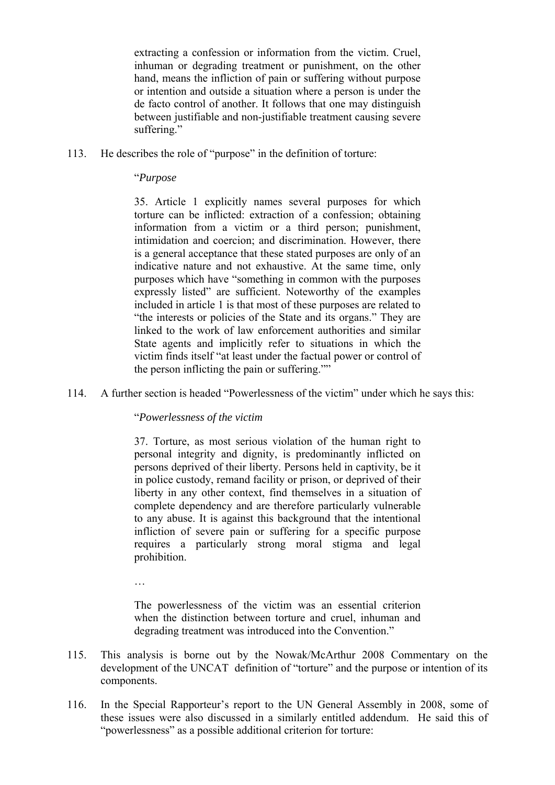extracting a confession or information from the victim. Cruel, inhuman or degrading treatment or punishment, on the other hand, means the infliction of pain or suffering without purpose or intention and outside a situation where a person is under the de facto control of another. It follows that one may distinguish between justifiable and non-justifiable treatment causing severe suffering."

113. He describes the role of "purpose" in the definition of torture:

#### "*Purpose*

 information from a victim or a third person; punishment, is a general acceptance that these stated purposes are only of an indicative nature and not exhaustive. At the same time, only expressly listed" are sufficient. Noteworthy of the examples "the interests or policies of the State and its organs." They are State agents and implicitly refer to situations in which the 35. Article 1 explicitly names several purposes for which torture can be inflicted: extraction of a confession; obtaining intimidation and coercion; and discrimination. However, there purposes which have "something in common with the purposes included in article 1 is that most of these purposes are related to linked to the work of law enforcement authorities and similar victim finds itself "at least under the factual power or control of the person inflicting the pain or suffering.""

114. A further section is headed "Powerlessness of the victim" under which he says this:

#### "*Powerlessness of the victim*

37. Torture, as most serious violation of the human right to personal integrity and dignity, is predominantly inflicted on persons deprived of their liberty. Persons held in captivity, be it in police custody, remand facility or prison, or deprived of their liberty in any other context, find themselves in a situation of complete dependency and are therefore particularly vulnerable to any abuse. It is against this background that the intentional infliction of severe pain or suffering for a specific purpose requires a particularly strong moral stigma and legal prohibition.

…

 The powerlessness of the victim was an essential criterion when the distinction between torture and cruel, inhuman and degrading treatment was introduced into the Convention."

- 115. This analysis is borne out by the Nowak/McArthur 2008 Commentary on the development of the UNCAT definition of "torture" and the purpose or intention of its components.
- these issues were also discussed in a similarly entitled addendum. He said this of "powerlessness" as a possible additional criterion for torture: 116. In the Special Rapporteur's report to the UN General Assembly in 2008, some of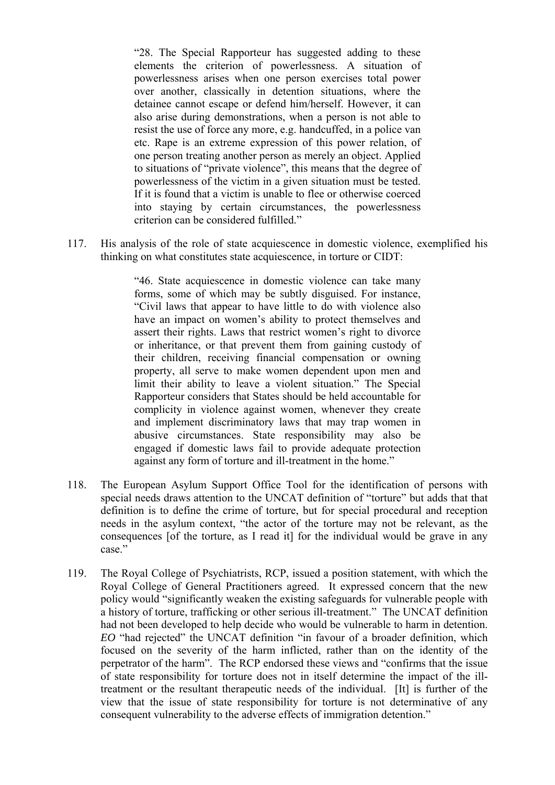elements the criterion of powerlessness. A situation of also arise during demonstrations, when a person is not able to to situations of "private violence", this means that the degree of "28. The Special Rapporteur has suggested adding to these powerlessness arises when one person exercises total power over another, classically in detention situations, where the detainee cannot escape or defend him/herself. However, it can resist the use of force any more, e.g. handcuffed, in a police van etc. Rape is an extreme expression of this power relation, of one person treating another person as merely an object. Applied powerlessness of the victim in a given situation must be tested. If it is found that a victim is unable to flee or otherwise coerced into staying by certain circumstances, the powerlessness criterion can be considered fulfilled."

117. His analysis of the role of state acquiescence in domestic violence, exemplified his thinking on what constitutes state acquiescence, in torture or CIDT:

> forms, some of which may be subtly disguised. For instance, "46. State acquiescence in domestic violence can take many "Civil laws that appear to have little to do with violence also have an impact on women's ability to protect themselves and assert their rights. Laws that restrict women's right to divorce or inheritance, or that prevent them from gaining custody of their children, receiving financial compensation or owning property, all serve to make women dependent upon men and limit their ability to leave a violent situation." The Special Rapporteur considers that States should be held accountable for complicity in violence against women, whenever they create and implement discriminatory laws that may trap women in abusive circumstances. State responsibility may also be engaged if domestic laws fail to provide adequate protection against any form of torture and ill-treatment in the home."

- 118. The European Asylum Support Office Tool for the identification of persons with special needs draws attention to the UNCAT definition of "torture" but adds that that definition is to define the crime of torture, but for special procedural and reception needs in the asylum context, "the actor of the torture may not be relevant, as the consequences [of the torture, as I read it] for the individual would be grave in any case."
- focused on the severity of the harm inflicted, rather than on the identity of the treatment or the resultant therapeutic needs of the individual. [It] is further of the 119. The Royal College of Psychiatrists, RCP, issued a position statement, with which the Royal College of General Practitioners agreed. It expressed concern that the new policy would "significantly weaken the existing safeguards for vulnerable people with a history of torture, trafficking or other serious ill-treatment." The UNCAT definition had not been developed to help decide who would be vulnerable to harm in detention. *EO* "had rejected" the UNCAT definition "in favour of a broader definition, which perpetrator of the harm". The RCP endorsed these views and "confirms that the issue of state responsibility for torture does not in itself determine the impact of the illview that the issue of state responsibility for torture is not determinative of any consequent vulnerability to the adverse effects of immigration detention."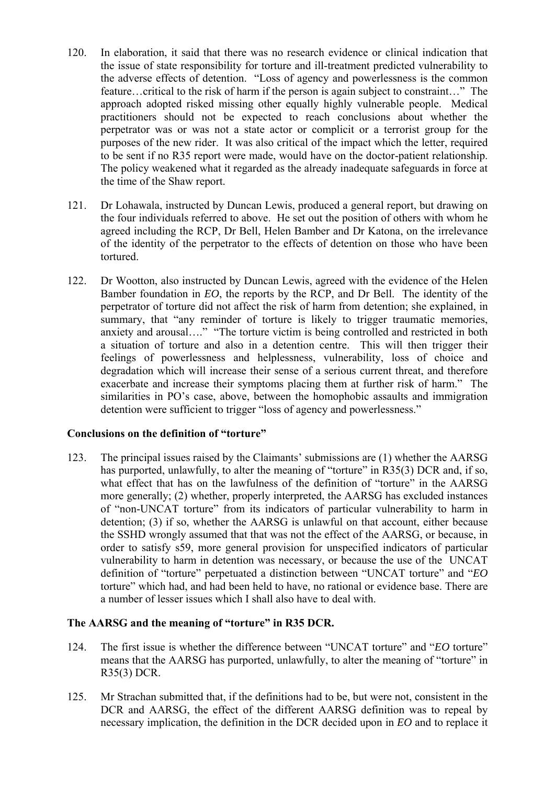- approach adopted risked missing other equally highly vulnerable people. Medical perpetrator was or was not a state actor or complicit or a terrorist group for the 120. In elaboration, it said that there was no research evidence or clinical indication that the issue of state responsibility for torture and ill-treatment predicted vulnerability to the adverse effects of detention. "Loss of agency and powerlessness is the common feature…critical to the risk of harm if the person is again subject to constraint…" The practitioners should not be expected to reach conclusions about whether the purposes of the new rider. It was also critical of the impact which the letter, required to be sent if no R35 report were made, would have on the doctor-patient relationship. The policy weakened what it regarded as the already inadequate safeguards in force at the time of the Shaw report.
- the four individuals referred to above. He set out the position of others with whom he 121. Dr Lohawala, instructed by Duncan Lewis, produced a general report, but drawing on agreed including the RCP, Dr Bell, Helen Bamber and Dr Katona, on the irrelevance of the identity of the perpetrator to the effects of detention on those who have been tortured.
- Bamber foundation in *EO*, the reports by the RCP, and Dr Bell. The identity of the perpetrator of torture did not affect the risk of harm from detention; she explained, in feelings of powerlessness and helplessness, vulnerability, loss of choice and degradation which will increase their sense of a serious current threat, and therefore exacerbate and increase their symptoms placing them at further risk of harm." The 122. Dr Wootton, also instructed by Duncan Lewis, agreed with the evidence of the Helen summary, that "any reminder of torture is likely to trigger traumatic memories. anxiety and arousal…." "The torture victim is being controlled and restricted in both a situation of torture and also in a detention centre. This will then trigger their similarities in PO's case, above, between the homophobic assaults and immigration detention were sufficient to trigger "loss of agency and powerlessness."

#### **Conclusions on the definition of "torture"**

123. The principal issues raised by the Claimants' submissions are (1) whether the AARSG has purported, unlawfully, to alter the meaning of "torture" in R35(3) DCR and, if so, what effect that has on the lawfulness of the definition of "torture" in the AARSG more generally; (2) whether, properly interpreted, the AARSG has excluded instances of "non-UNCAT torture" from its indicators of particular vulnerability to harm in detention; (3) if so, whether the AARSG is unlawful on that account, either because the SSHD wrongly assumed that that was not the effect of the AARSG, or because, in order to satisfy s59, more general provision for unspecified indicators of particular vulnerability to harm in detention was necessary, or because the use of the UNCAT definition of "torture" perpetuated a distinction between "UNCAT torture" and "*EO*  torture" which had, and had been held to have, no rational or evidence base. There are a number of lesser issues which I shall also have to deal with.

### **The AARSG and the meaning of "torture" in R35 DCR.**

- 124. The first issue is whether the difference between "UNCAT torture" and "*EO* torture" means that the AARSG has purported, unlawfully, to alter the meaning of "torture" in R35(3) DCR.
- 125. Mr Strachan submitted that, if the definitions had to be, but were not, consistent in the DCR and AARSG, the effect of the different AARSG definition was to repeal by necessary implication, the definition in the DCR decided upon in *EO* and to replace it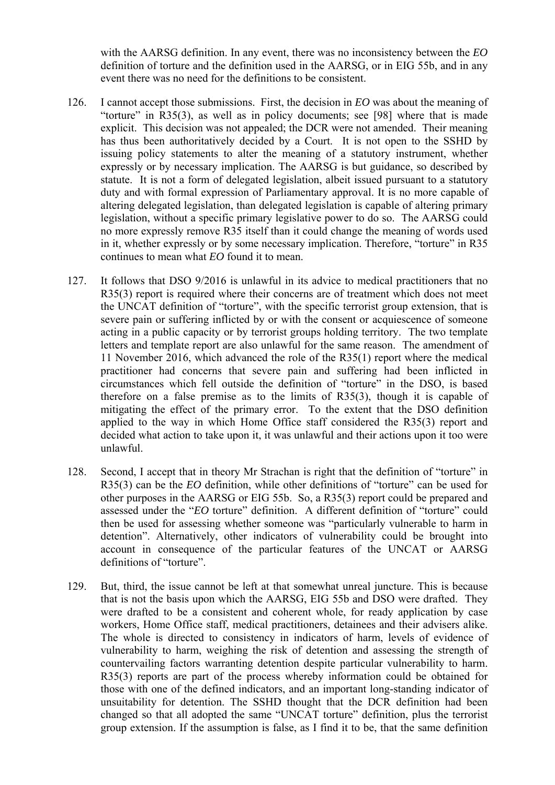with the AARSG definition. In any event, there was no inconsistency between the *EO*  definition of torture and the definition used in the AARSG, or in EIG 55b, and in any event there was no need for the definitions to be consistent.

- issuing policy statements to alter the meaning of a statutory instrument, whether statute. It is not a form of delegated legislation, albeit issued pursuant to a statutory legislation, without a specific primary legislative power to do so. The AARSG could 126. I cannot accept those submissions. First, the decision in *EO* was about the meaning of "torture" in  $R35(3)$ , as well as in policy documents; see [98] where that is made explicit. This decision was not appealed; the DCR were not amended. Their meaning has thus been authoritatively decided by a Court. It is not open to the SSHD by expressly or by necessary implication. The AARSG is but guidance, so described by duty and with formal expression of Parliamentary approval. It is no more capable of altering delegated legislation, than delegated legislation is capable of altering primary no more expressly remove R35 itself than it could change the meaning of words used in it, whether expressly or by some necessary implication. Therefore, "torture" in R35 continues to mean what *EO* found it to mean.
- the UNCAT definition of "torture", with the specific terrorist group extension, that is letters and template report are also unlawful for the same reason. The amendment of circumstances which fell outside the definition of "torture" in the DSO, is based therefore on a false premise as to the limits of R35(3), though it is capable of 127. It follows that DSO 9/2016 is unlawful in its advice to medical practitioners that no R35(3) report is required where their concerns are of treatment which does not meet severe pain or suffering inflicted by or with the consent or acquiescence of someone acting in a public capacity or by terrorist groups holding territory. The two template 11 November 2016, which advanced the role of the R35(1) report where the medical practitioner had concerns that severe pain and suffering had been inflicted in mitigating the effect of the primary error. To the extent that the DSO definition applied to the way in which Home Office staff considered the R35(3) report and decided what action to take upon it, it was unlawful and their actions upon it too were unlawful.
- assessed under the "*EO* torture" definition. A different definition of "torture" could definitions of "torture". 128. Second, I accept that in theory Mr Strachan is right that the definition of "torture" in R35(3) can be the *EO* definition, while other definitions of "torture" can be used for other purposes in the AARSG or EIG 55b. So, a R35(3) report could be prepared and then be used for assessing whether someone was "particularly vulnerable to harm in detention". Alternatively, other indicators of vulnerability could be brought into account in consequence of the particular features of the UNCAT or AARSG
- 129. But, third, the issue cannot be left at that somewhat unreal juncture. This is because that is not the basis upon which the AARSG, EIG 55b and DSO were drafted. They were drafted to be a consistent and coherent whole, for ready application by case workers, Home Office staff, medical practitioners, detainees and their advisers alike. The whole is directed to consistency in indicators of harm, levels of evidence of vulnerability to harm, weighing the risk of detention and assessing the strength of countervailing factors warranting detention despite particular vulnerability to harm. R35(3) reports are part of the process whereby information could be obtained for those with one of the defined indicators, and an important long-standing indicator of unsuitability for detention. The SSHD thought that the DCR definition had been changed so that all adopted the same "UNCAT torture" definition, plus the terrorist group extension. If the assumption is false, as I find it to be, that the same definition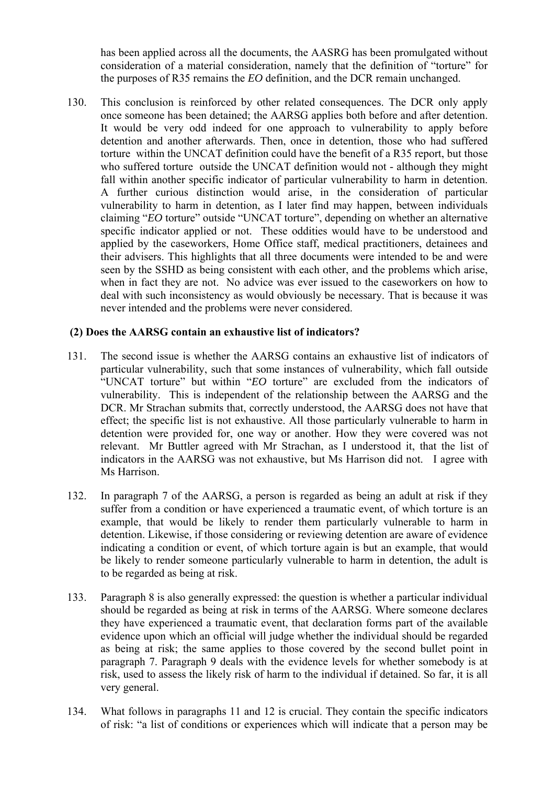has been applied across all the documents, the AASRG has been promulgated without consideration of a material consideration, namely that the definition of "torture" for the purposes of R35 remains the *EO* definition, and the DCR remain unchanged.

 once someone has been detained; the AARSG applies both before and after detention. when in fact they are not. No advice was ever issued to the caseworkers on how to 130. This conclusion is reinforced by other related consequences. The DCR only apply It would be very odd indeed for one approach to vulnerability to apply before detention and another afterwards. Then, once in detention, those who had suffered torture within the UNCAT definition could have the benefit of a R35 report, but those who suffered torture outside the UNCAT definition would not - although they might fall within another specific indicator of particular vulnerability to harm in detention. A further curious distinction would arise, in the consideration of particular vulnerability to harm in detention, as I later find may happen, between individuals claiming "*EO* torture" outside "UNCAT torture", depending on whether an alternative specific indicator applied or not. These oddities would have to be understood and applied by the caseworkers, Home Office staff, medical practitioners, detainees and their advisers. This highlights that all three documents were intended to be and were seen by the SSHD as being consistent with each other, and the problems which arise, deal with such inconsistency as would obviously be necessary. That is because it was never intended and the problems were never considered.

### **(2) Does the AARSG contain an exhaustive list of indicators?**

- vulnerability. This is independent of the relationship between the AARSG and the indicators in the AARSG was not exhaustive, but Ms Harrison did not. I agree with 131. The second issue is whether the AARSG contains an exhaustive list of indicators of particular vulnerability, such that some instances of vulnerability, which fall outside "UNCAT torture" but within "*EO* torture" are excluded from the indicators of DCR. Mr Strachan submits that, correctly understood, the AARSG does not have that effect; the specific list is not exhaustive. All those particularly vulnerable to harm in detention were provided for, one way or another. How they were covered was not relevant. Mr Buttler agreed with Mr Strachan, as I understood it, that the list of Ms Harrison.
- 132. In paragraph 7 of the AARSG, a person is regarded as being an adult at risk if they suffer from a condition or have experienced a traumatic event, of which torture is an example, that would be likely to render them particularly vulnerable to harm in detention. Likewise, if those considering or reviewing detention are aware of evidence indicating a condition or event, of which torture again is but an example, that would be likely to render someone particularly vulnerable to harm in detention, the adult is to be regarded as being at risk.
- 133. Paragraph 8 is also generally expressed: the question is whether a particular individual should be regarded as being at risk in terms of the AARSG. Where someone declares they have experienced a traumatic event, that declaration forms part of the available evidence upon which an official will judge whether the individual should be regarded as being at risk; the same applies to those covered by the second bullet point in paragraph 7. Paragraph 9 deals with the evidence levels for whether somebody is at risk, used to assess the likely risk of harm to the individual if detained. So far, it is all very general.
- 134. What follows in paragraphs 11 and 12 is crucial. They contain the specific indicators of risk: "a list of conditions or experiences which will indicate that a person may be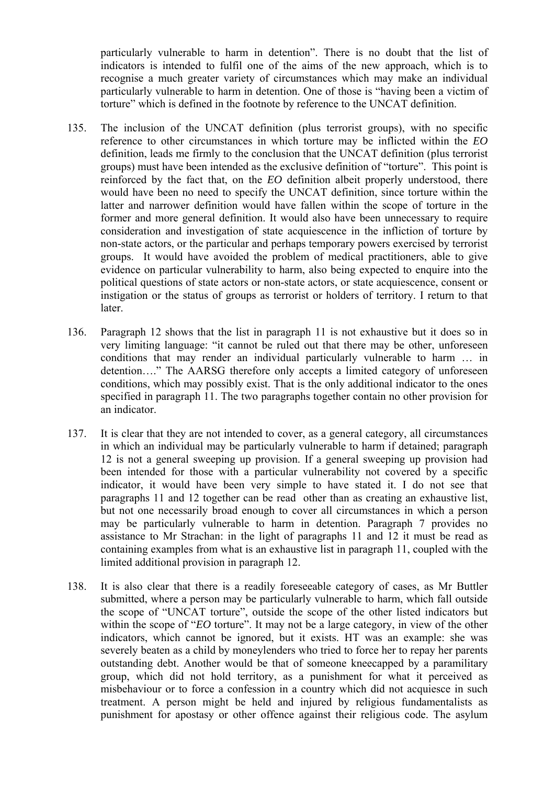particularly vulnerable to harm in detention". There is no doubt that the list of indicators is intended to fulfil one of the aims of the new approach, which is to particularly vulnerable to harm in detention. One of those is "having been a victim of recognise a much greater variety of circumstances which may make an individual torture" which is defined in the footnote by reference to the UNCAT definition.

- definition, leads me firmly to the conclusion that the UNCAT definition (plus terrorist 135. The inclusion of the UNCAT definition (plus terrorist groups), with no specific reference to other circumstances in which torture may be inflicted within the *EO*  groups) must have been intended as the exclusive definition of "torture". This point is reinforced by the fact that, on the *EO* definition albeit properly understood, there would have been no need to specify the UNCAT definition, since torture within the latter and narrower definition would have fallen within the scope of torture in the former and more general definition. It would also have been unnecessary to require consideration and investigation of state acquiescence in the infliction of torture by non-state actors, or the particular and perhaps temporary powers exercised by terrorist groups. It would have avoided the problem of medical practitioners, able to give evidence on particular vulnerability to harm, also being expected to enquire into the political questions of state actors or non-state actors, or state acquiescence, consent or instigation or the status of groups as terrorist or holders of territory. I return to that later.
- 136. Paragraph 12 shows that the list in paragraph 11 is not exhaustive but it does so in very limiting language: "it cannot be ruled out that there may be other, unforeseen conditions that may render an individual particularly vulnerable to harm … in detention…." The AARSG therefore only accepts a limited category of unforeseen conditions, which may possibly exist. That is the only additional indicator to the ones specified in paragraph 11. The two paragraphs together contain no other provision for an indicator.
- been intended for those with a particular vulnerability not covered by a specific 137. It is clear that they are not intended to cover, as a general category, all circumstances in which an individual may be particularly vulnerable to harm if detained; paragraph 12 is not a general sweeping up provision. If a general sweeping up provision had indicator, it would have been very simple to have stated it. I do not see that paragraphs 11 and 12 together can be read other than as creating an exhaustive list, but not one necessarily broad enough to cover all circumstances in which a person may be particularly vulnerable to harm in detention. Paragraph 7 provides no assistance to Mr Strachan: in the light of paragraphs 11 and 12 it must be read as containing examples from what is an exhaustive list in paragraph 11, coupled with the limited additional provision in paragraph 12.
- punishment for apostasy or other offence against their religious code. The asylum 138. It is also clear that there is a readily foreseeable category of cases, as Mr Buttler submitted, where a person may be particularly vulnerable to harm, which fall outside the scope of "UNCAT torture", outside the scope of the other listed indicators but within the scope of "*EO* torture". It may not be a large category, in view of the other indicators, which cannot be ignored, but it exists. HT was an example: she was severely beaten as a child by moneylenders who tried to force her to repay her parents outstanding debt. Another would be that of someone kneecapped by a paramilitary group, which did not hold territory, as a punishment for what it perceived as misbehaviour or to force a confession in a country which did not acquiesce in such treatment. A person might be held and injured by religious fundamentalists as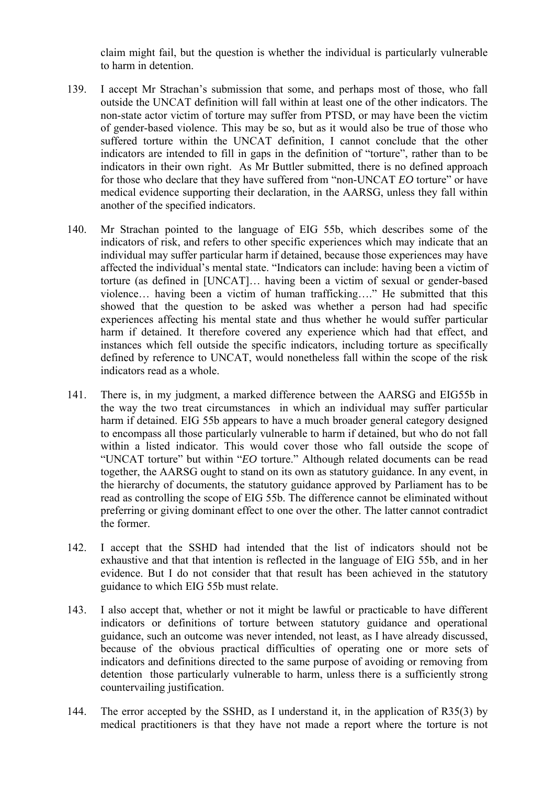claim might fail, but the question is whether the individual is particularly vulnerable to harm in detention.

- indicators are intended to fill in gaps in the definition of "torture", rather than to be for those who declare that they have suffered from "non-UNCAT *EO* torture" or have 139. I accept Mr Strachan's submission that some, and perhaps most of those, who fall outside the UNCAT definition will fall within at least one of the other indicators. The non-state actor victim of torture may suffer from PTSD, or may have been the victim of gender-based violence. This may be so, but as it would also be true of those who suffered torture within the UNCAT definition, I cannot conclude that the other indicators in their own right. As Mr Buttler submitted, there is no defined approach medical evidence supporting their declaration, in the AARSG, unless they fall within another of the specified indicators.
- indicators of risk, and refers to other specific experiences which may indicate that an affected the individual's mental state. "Indicators can include: having been a victim of torture (as defined in [UNCAT]… having been a victim of sexual or gender-based violence… having been a victim of human trafficking…." He submitted that this instances which fell outside the specific indicators, including torture as specifically 140. Mr Strachan pointed to the language of EIG 55b, which describes some of the individual may suffer particular harm if detained, because those experiences may have showed that the question to be asked was whether a person had had specific experiences affecting his mental state and thus whether he would suffer particular harm if detained. It therefore covered any experience which had that effect, and defined by reference to UNCAT, would nonetheless fall within the scope of the risk indicators read as a whole.
- the way the two treat circumstances in which an individual may suffer particular to encompass all those particularly vulnerable to harm if detained, but who do not fall 141. There is, in my judgment, a marked difference between the AARSG and EIG55b in harm if detained. EIG 55b appears to have a much broader general category designed within a listed indicator. This would cover those who fall outside the scope of "UNCAT torture" but within "*EO* torture." Although related documents can be read together, the AARSG ought to stand on its own as statutory guidance. In any event, in the hierarchy of documents, the statutory guidance approved by Parliament has to be read as controlling the scope of EIG 55b. The difference cannot be eliminated without preferring or giving dominant effect to one over the other. The latter cannot contradict the former.
- 142. I accept that the SSHD had intended that the list of indicators should not be exhaustive and that that intention is reflected in the language of EIG 55b, and in her evidence. But I do not consider that that result has been achieved in the statutory guidance to which EIG 55b must relate.
- indicators or definitions of torture between statutory guidance and operational 143. I also accept that, whether or not it might be lawful or practicable to have different guidance, such an outcome was never intended, not least, as I have already discussed, because of the obvious practical difficulties of operating one or more sets of indicators and definitions directed to the same purpose of avoiding or removing from detention those particularly vulnerable to harm, unless there is a sufficiently strong countervailing justification.
- medical practitioners is that they have not made a report where the torture is not 144. The error accepted by the SSHD, as I understand it, in the application of R35(3) by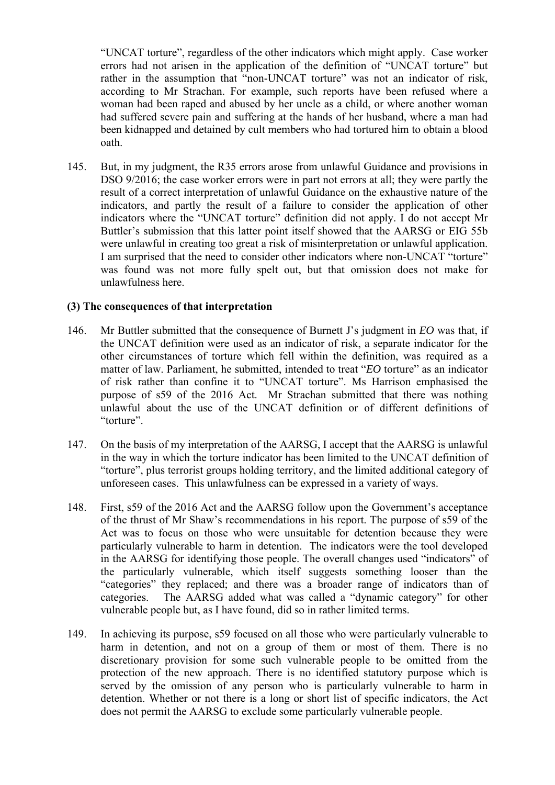"UNCAT torture", regardless of the other indicators which might apply. Case worker errors had not arisen in the application of the definition of "UNCAT torture" but rather in the assumption that "non-UNCAT torture" was not an indicator of risk, according to Mr Strachan. For example, such reports have been refused where a woman had been raped and abused by her uncle as a child, or where another woman had suffered severe pain and suffering at the hands of her husband, where a man had been kidnapped and detained by cult members who had tortured him to obtain a blood oath.

 indicators, and partly the result of a failure to consider the application of other indicators where the "UNCAT torture" definition did not apply. I do not accept Mr Buttler's submission that this latter point itself showed that the AARSG or EIG 55b were unlawful in creating too great a risk of misinterpretation or unlawful application. 145. But, in my judgment, the R35 errors arose from unlawful Guidance and provisions in DSO 9/2016; the case worker errors were in part not errors at all; they were partly the result of a correct interpretation of unlawful Guidance on the exhaustive nature of the I am surprised that the need to consider other indicators where non-UNCAT "torture" was found was not more fully spelt out, but that omission does not make for unlawfulness here.

#### **(3) The consequences of that interpretation**

- 146. Mr Buttler submitted that the consequence of Burnett J's judgment in *EO* was that, if unlawful about the use of the UNCAT definition or of different definitions of the UNCAT definition were used as an indicator of risk, a separate indicator for the other circumstances of torture which fell within the definition, was required as a matter of law. Parliament, he submitted, intended to treat "*EO* torture" as an indicator of risk rather than confine it to "UNCAT torture". Ms Harrison emphasised the purpose of s59 of the 2016 Act. Mr Strachan submitted that there was nothing "torture".
- 147. On the basis of my interpretation of the AARSG, I accept that the AARSG is unlawful in the way in which the torture indicator has been limited to the UNCAT definition of "torture", plus terrorist groups holding territory, and the limited additional category of unforeseen cases. This unlawfulness can be expressed in a variety of ways.
- 148. First, s59 of the 2016 Act and the AARSG follow upon the Government's acceptance of the thrust of Mr Shaw's recommendations in his report. The purpose of s59 of the Act was to focus on those who were unsuitable for detention because they were particularly vulnerable to harm in detention. The indicators were the tool developed in the AARSG for identifying those people. The overall changes used "indicators" of the particularly vulnerable, which itself suggests something looser than the "categories" they replaced; and there was a broader range of indicators than of categories. The AARSG added what was called a "dynamic category" for other vulnerable people but, as I have found, did so in rather limited terms.
- harm in detention, and not on a group of them or most of them. There is no served by the omission of any person who is particularly vulnerable to harm in 149. In achieving its purpose, s59 focused on all those who were particularly vulnerable to discretionary provision for some such vulnerable people to be omitted from the protection of the new approach. There is no identified statutory purpose which is detention. Whether or not there is a long or short list of specific indicators, the Act does not permit the AARSG to exclude some particularly vulnerable people.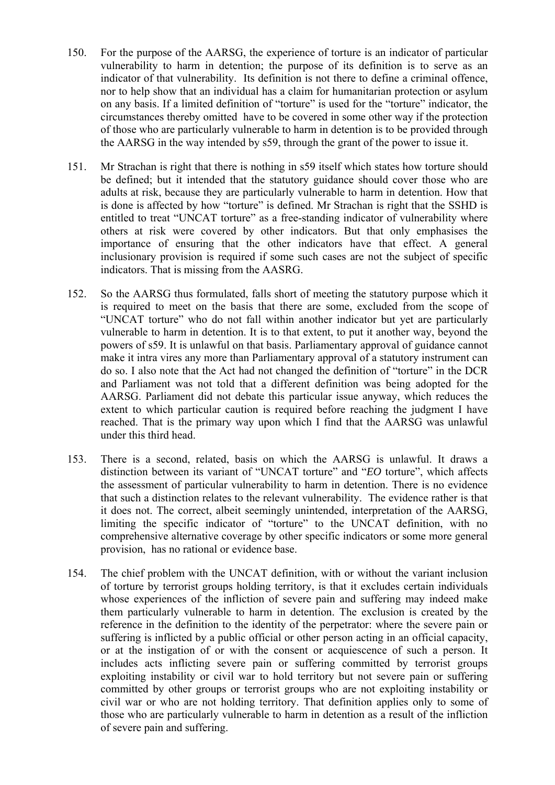- indicator of that vulnerability. Its definition is not there to define a criminal offence, circumstances thereby omitted have to be covered in some other way if the protection 150. For the purpose of the AARSG, the experience of torture is an indicator of particular vulnerability to harm in detention; the purpose of its definition is to serve as an nor to help show that an individual has a claim for humanitarian protection or asylum on any basis. If a limited definition of "torture" is used for the "torture" indicator, the of those who are particularly vulnerable to harm in detention is to be provided through the AARSG in the way intended by s59, through the grant of the power to issue it.
- 151. Mr Strachan is right that there is nothing in s59 itself which states how torture should be defined; but it intended that the statutory guidance should cover those who are adults at risk, because they are particularly vulnerable to harm in detention. How that is done is affected by how "torture" is defined. Mr Strachan is right that the SSHD is entitled to treat "UNCAT torture" as a free-standing indicator of vulnerability where others at risk were covered by other indicators. But that only emphasises the importance of ensuring that the other indicators have that effect. A general inclusionary provision is required if some such cases are not the subject of specific indicators. That is missing from the AASRG.
- and Parliament was not told that a different definition was being adopted for the 152. So the AARSG thus formulated, falls short of meeting the statutory purpose which it is required to meet on the basis that there are some, excluded from the scope of "UNCAT torture" who do not fall within another indicator but yet are particularly vulnerable to harm in detention. It is to that extent, to put it another way, beyond the powers of s59. It is unlawful on that basis. Parliamentary approval of guidance cannot make it intra vires any more than Parliamentary approval of a statutory instrument can do so. I also note that the Act had not changed the definition of "torture" in the DCR AARSG. Parliament did not debate this particular issue anyway, which reduces the extent to which particular caution is required before reaching the judgment I have reached. That is the primary way upon which I find that the AARSG was unlawful under this third head.
- 153. There is a second, related, basis on which the AARSG is unlawful. It draws a distinction between its variant of "UNCAT torture" and "*EO* torture", which affects comprehensive alternative coverage by other specific indicators or some more general the assessment of particular vulnerability to harm in detention. There is no evidence that such a distinction relates to the relevant vulnerability. The evidence rather is that it does not. The correct, albeit seemingly unintended, interpretation of the AARSG, limiting the specific indicator of "torture" to the UNCAT definition, with no provision, has no rational or evidence base.
- reference in the definition to the identity of the perpetrator: where the severe pain or includes acts inflicting severe pain or suffering committed by terrorist groups 154. The chief problem with the UNCAT definition, with or without the variant inclusion of torture by terrorist groups holding territory, is that it excludes certain individuals whose experiences of the infliction of severe pain and suffering may indeed make them particularly vulnerable to harm in detention. The exclusion is created by the suffering is inflicted by a public official or other person acting in an official capacity, or at the instigation of or with the consent or acquiescence of such a person. It exploiting instability or civil war to hold territory but not severe pain or suffering committed by other groups or terrorist groups who are not exploiting instability or civil war or who are not holding territory. That definition applies only to some of those who are particularly vulnerable to harm in detention as a result of the infliction of severe pain and suffering.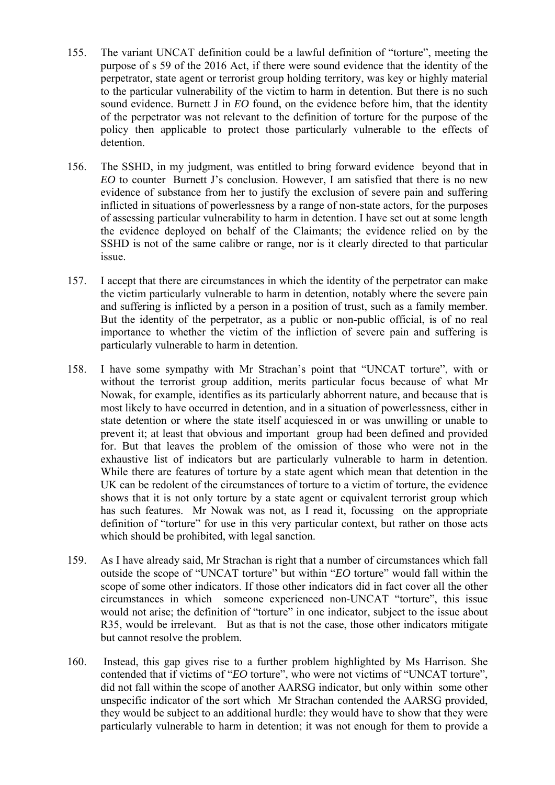- purpose of s 59 of the 2016 Act, if there were sound evidence that the identity of the to the particular vulnerability of the victim to harm in detention. But there is no such 155. The variant UNCAT definition could be a lawful definition of "torture", meeting the perpetrator, state agent or terrorist group holding territory, was key or highly material sound evidence. Burnett J in *EO* found, on the evidence before him, that the identity of the perpetrator was not relevant to the definition of torture for the purpose of the policy then applicable to protect those particularly vulnerable to the effects of detention.
- *EO* to counter Burnett J's conclusion. However, I am satisfied that there is no new 156. The SSHD, in my judgment, was entitled to bring forward evidence beyond that in evidence of substance from her to justify the exclusion of severe pain and suffering inflicted in situations of powerlessness by a range of non-state actors, for the purposes of assessing particular vulnerability to harm in detention. I have set out at some length the evidence deployed on behalf of the Claimants; the evidence relied on by the SSHD is not of the same calibre or range, nor is it clearly directed to that particular issue.
- and suffering is inflicted by a person in a position of trust, such as a family member. importance to whether the victim of the infliction of severe pain and suffering is 157. I accept that there are circumstances in which the identity of the perpetrator can make the victim particularly vulnerable to harm in detention, notably where the severe pain But the identity of the perpetrator, as a public or non-public official, is of no real particularly vulnerable to harm in detention.
- While there are features of torture by a state agent which mean that detention in the UK can be redolent of the circumstances of torture to a victim of torture, the evidence 158. I have some sympathy with Mr Strachan's point that "UNCAT torture", with or without the terrorist group addition, merits particular focus because of what Mr Nowak, for example, identifies as its particularly abhorrent nature, and because that is most likely to have occurred in detention, and in a situation of powerlessness, either in state detention or where the state itself acquiesced in or was unwilling or unable to prevent it; at least that obvious and important group had been defined and provided for. But that leaves the problem of the omission of those who were not in the exhaustive list of indicators but are particularly vulnerable to harm in detention. shows that it is not only torture by a state agent or equivalent terrorist group which has such features. Mr Nowak was not, as I read it, focussing on the appropriate definition of "torture" for use in this very particular context, but rather on those acts which should be prohibited, with legal sanction.
- 159. As I have already said, Mr Strachan is right that a number of circumstances which fall outside the scope of "UNCAT torture" but within "*EO* torture" would fall within the would not arise; the definition of "torture" in one indicator, subject to the issue about R35, would be irrelevant. But as that is not the case, those other indicators mitigate scope of some other indicators. If those other indicators did in fact cover all the other circumstances in which someone experienced non-UNCAT "torture", this issue but cannot resolve the problem.
- 160. Instead, this gap gives rise to a further problem highlighted by Ms Harrison. She particularly vulnerable to harm in detention; it was not enough for them to provide a contended that if victims of "*EO* torture", who were not victims of "UNCAT torture", did not fall within the scope of another AARSG indicator, but only within some other unspecific indicator of the sort which Mr Strachan contended the AARSG provided, they would be subject to an additional hurdle: they would have to show that they were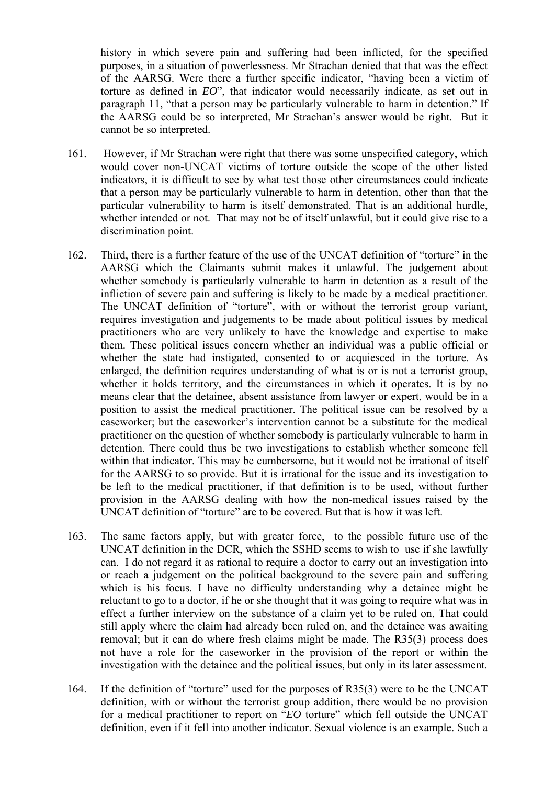of the AARSG. Were there a further specific indicator, "having been a victim of history in which severe pain and suffering had been inflicted, for the specified purposes, in a situation of powerlessness. Mr Strachan denied that that was the effect torture as defined in *EO*", that indicator would necessarily indicate, as set out in paragraph 11, "that a person may be particularly vulnerable to harm in detention." If the AARSG could be so interpreted, Mr Strachan's answer would be right. But it cannot be so interpreted.

- 161. However, if Mr Strachan were right that there was some unspecified category, which would cover non-UNCAT victims of torture outside the scope of the other listed indicators, it is difficult to see by what test those other circumstances could indicate that a person may be particularly vulnerable to harm in detention, other than that the particular vulnerability to harm is itself demonstrated. That is an additional hurdle, whether intended or not. That may not be of itself unlawful, but it could give rise to a discrimination point.
- infliction of severe pain and suffering is likely to be made by a medical practitioner. them. These political issues concern whether an individual was a public official or be left to the medical practitioner, if that definition is to be used, without further 162. Third, there is a further feature of the use of the UNCAT definition of "torture" in the AARSG which the Claimants submit makes it unlawful. The judgement about whether somebody is particularly vulnerable to harm in detention as a result of the The UNCAT definition of "torture", with or without the terrorist group variant, requires investigation and judgements to be made about political issues by medical practitioners who are very unlikely to have the knowledge and expertise to make whether the state had instigated, consented to or acquiesced in the torture. As enlarged, the definition requires understanding of what is or is not a terrorist group, whether it holds territory, and the circumstances in which it operates. It is by no means clear that the detainee, absent assistance from lawyer or expert, would be in a position to assist the medical practitioner. The political issue can be resolved by a caseworker; but the caseworker's intervention cannot be a substitute for the medical practitioner on the question of whether somebody is particularly vulnerable to harm in detention. There could thus be two investigations to establish whether someone fell within that indicator. This may be cumbersome, but it would not be irrational of itself for the AARSG to so provide. But it is irrational for the issue and its investigation to provision in the AARSG dealing with how the non-medical issues raised by the UNCAT definition of "torture" are to be covered. But that is how it was left.
- 163. The same factors apply, but with greater force, to the possible future use of the UNCAT definition in the DCR, which the SSHD seems to wish to use if she lawfully can. I do not regard it as rational to require a doctor to carry out an investigation into effect a further interview on the substance of a claim yet to be ruled on. That could or reach a judgement on the political background to the severe pain and suffering which is his focus. I have no difficulty understanding why a detainee might be reluctant to go to a doctor, if he or she thought that it was going to require what was in still apply where the claim had already been ruled on, and the detainee was awaiting removal; but it can do where fresh claims might be made. The R35(3) process does not have a role for the caseworker in the provision of the report or within the investigation with the detainee and the political issues, but only in its later assessment.
- definition, even if it fell into another indicator. Sexual violence is an example. Such a 164. If the definition of "torture" used for the purposes of R35(3) were to be the UNCAT definition, with or without the terrorist group addition, there would be no provision for a medical practitioner to report on "*EO* torture" which fell outside the UNCAT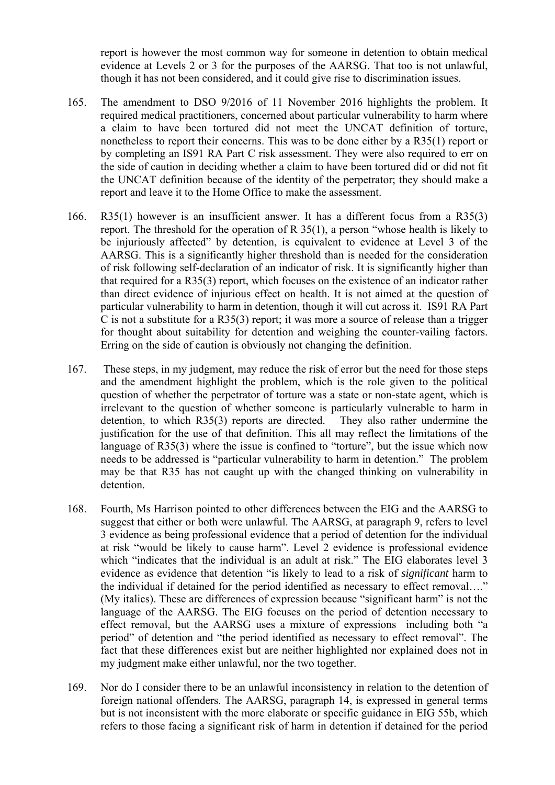report is however the most common way for someone in detention to obtain medical evidence at Levels 2 or 3 for the purposes of the AARSG. That too is not unlawful, though it has not been considered, and it could give rise to discrimination issues.

- required medical practitioners, concerned about particular vulnerability to harm where 165. The amendment to DSO 9/2016 of 11 November 2016 highlights the problem. It a claim to have been tortured did not meet the UNCAT definition of torture, nonetheless to report their concerns. This was to be done either by a R35(1) report or by completing an IS91 RA Part C risk assessment. They were also required to err on the side of caution in deciding whether a claim to have been tortured did or did not fit the UNCAT definition because of the identity of the perpetrator; they should make a report and leave it to the Home Office to make the assessment.
- 166.  $R35(1)$  however is an insufficient answer. It has a different focus from a  $R35(3)$  be injuriously affected" by detention, is equivalent to evidence at Level 3 of the of risk following self-declaration of an indicator of risk. It is significantly higher than C is not a substitute for a  $R35(3)$  report; it was more a source of release than a trigger report. The threshold for the operation of R 35(1), a person "whose health is likely to AARSG. This is a significantly higher threshold than is needed for the consideration that required for a R35(3) report, which focuses on the existence of an indicator rather than direct evidence of injurious effect on health. It is not aimed at the question of particular vulnerability to harm in detention, though it will cut across it. IS91 RA Part for thought about suitability for detention and weighing the counter-vailing factors. Erring on the side of caution is obviously not changing the definition.
- They also rather undermine the language of R35(3) where the issue is confined to "torture", but the issue which now 167. These steps, in my judgment, may reduce the risk of error but the need for those steps and the amendment highlight the problem, which is the role given to the political question of whether the perpetrator of torture was a state or non-state agent, which is irrelevant to the question of whether someone is particularly vulnerable to harm in detention, to which  $R35(3)$  reports are directed. justification for the use of that definition. This all may reflect the limitations of the needs to be addressed is "particular vulnerability to harm in detention." The problem may be that R35 has not caught up with the changed thinking on vulnerability in detention.
- which "indicates that the individual is an adult at risk." The EIG elaborates level 3 evidence as evidence that detention "is likely to lead to a risk of *significant* harm to the individual if detained for the period identified as necessary to effect removal…." (My italics). These are differences of expression because "significant harm" is not the 168. Fourth, Ms Harrison pointed to other differences between the EIG and the AARSG to suggest that either or both were unlawful. The AARSG, at paragraph 9, refers to level 3 evidence as being professional evidence that a period of detention for the individual at risk "would be likely to cause harm". Level 2 evidence is professional evidence language of the AARSG. The EIG focuses on the period of detention necessary to effect removal, but the AARSG uses a mixture of expressions including both "a period" of detention and "the period identified as necessary to effect removal". The fact that these differences exist but are neither highlighted nor explained does not in my judgment make either unlawful, nor the two together.
- refers to those facing a significant risk of harm in detention if detained for the period 169. Nor do I consider there to be an unlawful inconsistency in relation to the detention of foreign national offenders. The AARSG, paragraph 14, is expressed in general terms but is not inconsistent with the more elaborate or specific guidance in EIG 55b, which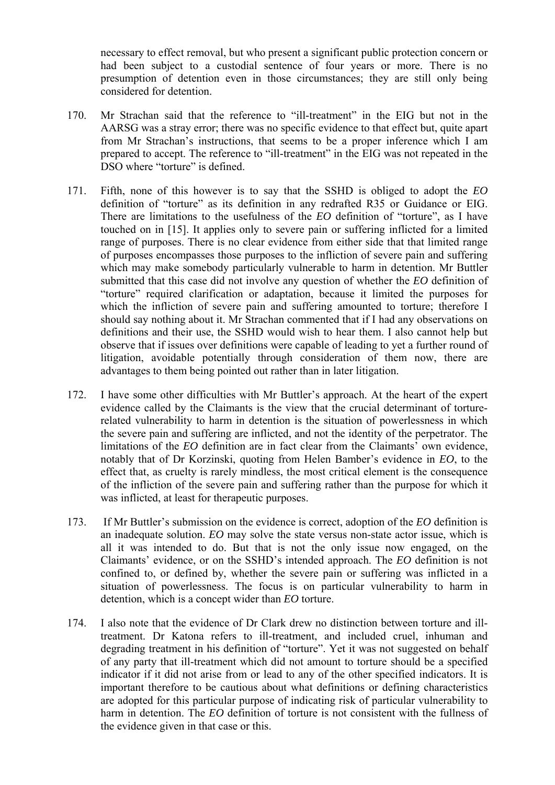had been subject to a custodial sentence of four years or more. There is no necessary to effect removal, but who present a significant public protection concern or presumption of detention even in those circumstances; they are still only being considered for detention.

- 170. Mr Strachan said that the reference to "ill-treatment" in the EIG but not in the AARSG was a stray error; there was no specific evidence to that effect but, quite apart from Mr Strachan's instructions, that seems to be a proper inference which I am prepared to accept. The reference to "ill-treatment" in the EIG was not repeated in the DSO where "torture" is defined.
- definition of "torture" as its definition in any redrafted R35 or Guidance or EIG. There are limitations to the usefulness of the *EO* definition of "torture", as I have which the infliction of severe pain and suffering amounted to torture; therefore I 171. Fifth, none of this however is to say that the SSHD is obliged to adopt the *EO*  touched on in [15]. It applies only to severe pain or suffering inflicted for a limited range of purposes. There is no clear evidence from either side that that limited range of purposes encompasses those purposes to the infliction of severe pain and suffering which may make somebody particularly vulnerable to harm in detention. Mr Buttler submitted that this case did not involve any question of whether the *EO* definition of "torture" required clarification or adaptation, because it limited the purposes for should say nothing about it. Mr Strachan commented that if I had any observations on definitions and their use, the SSHD would wish to hear them. I also cannot help but observe that if issues over definitions were capable of leading to yet a further round of litigation, avoidable potentially through consideration of them now, there are advantages to them being pointed out rather than in later litigation.
- evidence called by the Claimants is the view that the crucial determinant of torture- limitations of the *EO* definition are in fact clear from the Claimants' own evidence, 172. I have some other difficulties with Mr Buttler's approach. At the heart of the expert related vulnerability to harm in detention is the situation of powerlessness in which the severe pain and suffering are inflicted, and not the identity of the perpetrator. The notably that of Dr Korzinski, quoting from Helen Bamber's evidence in *EO*, to the effect that, as cruelty is rarely mindless, the most critical element is the consequence of the infliction of the severe pain and suffering rather than the purpose for which it was inflicted, at least for therapeutic purposes.
- 173. If Mr Buttler's submission on the evidence is correct, adoption of the *EO* definition is an inadequate solution. *EO* may solve the state versus non-state actor issue, which is all it was intended to do. But that is not the only issue now engaged, on the Claimants' evidence, or on the SSHD's intended approach. The *EO* definition is not confined to, or defined by, whether the severe pain or suffering was inflicted in a situation of powerlessness. The focus is on particular vulnerability to harm in detention, which is a concept wider than *EO* torture.
- treatment. Dr Katona refers to ill-treatment, and included cruel, inhuman and degrading treatment in his definition of "torture". Yet it was not suggested on behalf important therefore to be cautious about what definitions or defining characteristics 174. I also note that the evidence of Dr Clark drew no distinction between torture and illof any party that ill-treatment which did not amount to torture should be a specified indicator if it did not arise from or lead to any of the other specified indicators. It is are adopted for this particular purpose of indicating risk of particular vulnerability to harm in detention. The *EO* definition of torture is not consistent with the fullness of the evidence given in that case or this.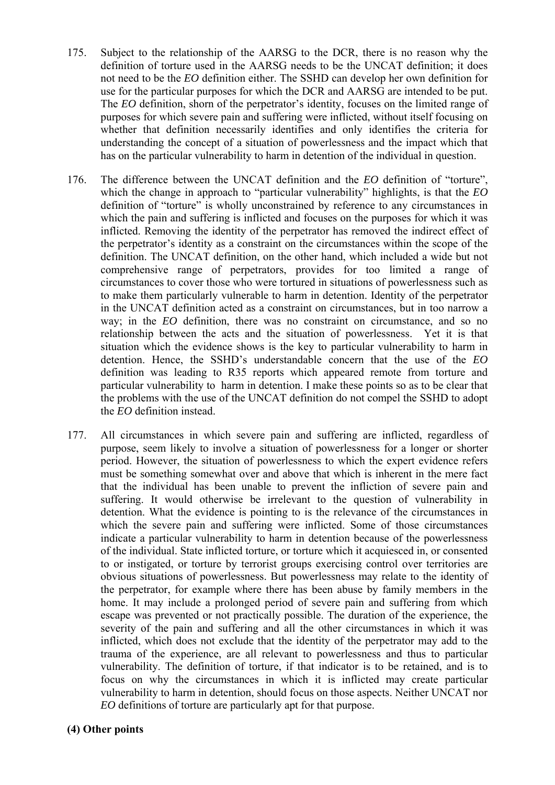- use for the particular purposes for which the DCR and AARSG are intended to be put. whether that definition necessarily identifies and only identifies the criteria for 175. Subject to the relationship of the AARSG to the DCR, there is no reason why the definition of torture used in the AARSG needs to be the UNCAT definition; it does not need to be the *EO* definition either. The SSHD can develop her own definition for The *EO* definition, shorn of the perpetrator's identity, focuses on the limited range of purposes for which severe pain and suffering were inflicted, without itself focusing on understanding the concept of a situation of powerlessness and the impact which that has on the particular vulnerability to harm in detention of the individual in question.
- 176. The difference between the UNCAT definition and the *EO* definition of "torture", relationship between the acts and the situation of powerlessness. Yet it is that particular vulnerability to harm in detention. I make these points so as to be clear that which the change in approach to "particular vulnerability" highlights, is that the *EO*  definition of "torture" is wholly unconstrained by reference to any circumstances in which the pain and suffering is inflicted and focuses on the purposes for which it was inflicted. Removing the identity of the perpetrator has removed the indirect effect of the perpetrator's identity as a constraint on the circumstances within the scope of the definition. The UNCAT definition, on the other hand, which included a wide but not comprehensive range of perpetrators, provides for too limited a range of circumstances to cover those who were tortured in situations of powerlessness such as to make them particularly vulnerable to harm in detention. Identity of the perpetrator in the UNCAT definition acted as a constraint on circumstances, but in too narrow a way; in the *EO* definition, there was no constraint on circumstance, and so no situation which the evidence shows is the key to particular vulnerability to harm in detention. Hence, the SSHD's understandable concern that the use of the *EO*  definition was leading to R35 reports which appeared remote from torture and the problems with the use of the UNCAT definition do not compel the SSHD to adopt the *EO* definition instead.
- must be something somewhat over and above that which is inherent in the mere fact to or instigated, or torture by terrorist groups exercising control over territories are the perpetrator, for example where there has been abuse by family members in the home. It may include a prolonged period of severe pain and suffering from which 177. All circumstances in which severe pain and suffering are inflicted, regardless of purpose, seem likely to involve a situation of powerlessness for a longer or shorter period. However, the situation of powerlessness to which the expert evidence refers that the individual has been unable to prevent the infliction of severe pain and suffering. It would otherwise be irrelevant to the question of vulnerability in detention. What the evidence is pointing to is the relevance of the circumstances in which the severe pain and suffering were inflicted. Some of those circumstances indicate a particular vulnerability to harm in detention because of the powerlessness of the individual. State inflicted torture, or torture which it acquiesced in, or consented obvious situations of powerlessness. But powerlessness may relate to the identity of escape was prevented or not practically possible. The duration of the experience, the severity of the pain and suffering and all the other circumstances in which it was inflicted, which does not exclude that the identity of the perpetrator may add to the trauma of the experience, are all relevant to powerlessness and thus to particular vulnerability. The definition of torture, if that indicator is to be retained, and is to focus on why the circumstances in which it is inflicted may create particular vulnerability to harm in detention, should focus on those aspects. Neither UNCAT nor *EO* definitions of torture are particularly apt for that purpose.

#### **(4) Other points**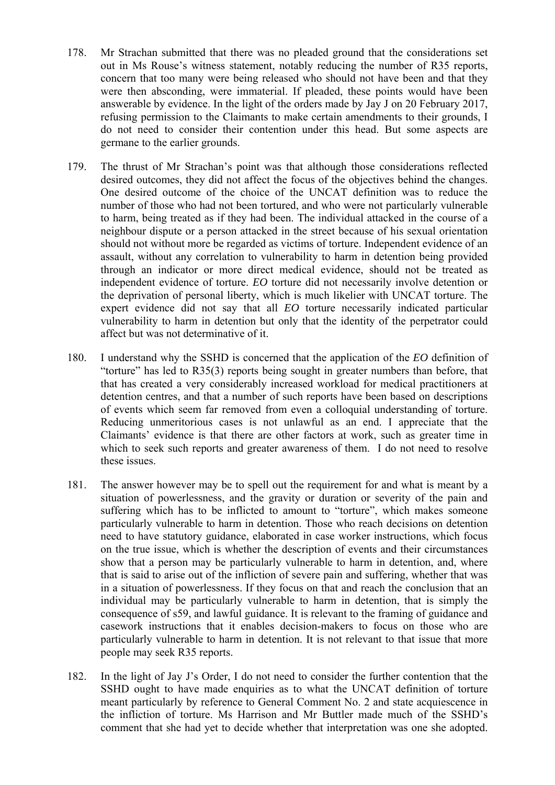- 178. Mr Strachan submitted that there was no pleaded ground that the considerations set out in Ms Rouse's witness statement, notably reducing the number of R35 reports, concern that too many were being released who should not have been and that they were then absconding, were immaterial. If pleaded, these points would have been answerable by evidence. In the light of the orders made by Jay J on 20 February 2017, refusing permission to the Claimants to make certain amendments to their grounds, I do not need to consider their contention under this head. But some aspects are germane to the earlier grounds.
- One desired outcome of the choice of the UNCAT definition was to reduce the 179. The thrust of Mr Strachan's point was that although those considerations reflected desired outcomes, they did not affect the focus of the objectives behind the changes. number of those who had not been tortured, and who were not particularly vulnerable to harm, being treated as if they had been. The individual attacked in the course of a neighbour dispute or a person attacked in the street because of his sexual orientation should not without more be regarded as victims of torture. Independent evidence of an assault, without any correlation to vulnerability to harm in detention being provided through an indicator or more direct medical evidence, should not be treated as independent evidence of torture. *EO* torture did not necessarily involve detention or the deprivation of personal liberty, which is much likelier with UNCAT torture. The expert evidence did not say that all *EO* torture necessarily indicated particular vulnerability to harm in detention but only that the identity of the perpetrator could affect but was not determinative of it.
- detention centres, and that a number of such reports have been based on descriptions Reducing unmeritorious cases is not unlawful as an end. I appreciate that the which to seek such reports and greater awareness of them. I do not need to resolve these issues. 180. I understand why the SSHD is concerned that the application of the *EO* definition of "torture" has led to R35(3) reports being sought in greater numbers than before, that that has created a very considerably increased workload for medical practitioners at of events which seem far removed from even a colloquial understanding of torture. Claimants' evidence is that there are other factors at work, such as greater time in
- 181. The answer however may be to spell out the requirement for and what is meant by a situation of powerlessness, and the gravity or duration or severity of the pain and suffering which has to be inflicted to amount to "torture", which makes someone particularly vulnerable to harm in detention. Those who reach decisions on detention need to have statutory guidance, elaborated in case worker instructions, which focus on the true issue, which is whether the description of events and their circumstances show that a person may be particularly vulnerable to harm in detention, and, where that is said to arise out of the infliction of severe pain and suffering, whether that was in a situation of powerlessness. If they focus on that and reach the conclusion that an individual may be particularly vulnerable to harm in detention, that is simply the consequence of s59, and lawful guidance. It is relevant to the framing of guidance and casework instructions that it enables decision-makers to focus on those who are particularly vulnerable to harm in detention. It is not relevant to that issue that more people may seek R35 reports.
- the infliction of torture. Ms Harrison and Mr Buttler made much of the SSHD's 182. In the light of Jay J's Order, I do not need to consider the further contention that the SSHD ought to have made enquiries as to what the UNCAT definition of torture meant particularly by reference to General Comment No. 2 and state acquiescence in comment that she had yet to decide whether that interpretation was one she adopted.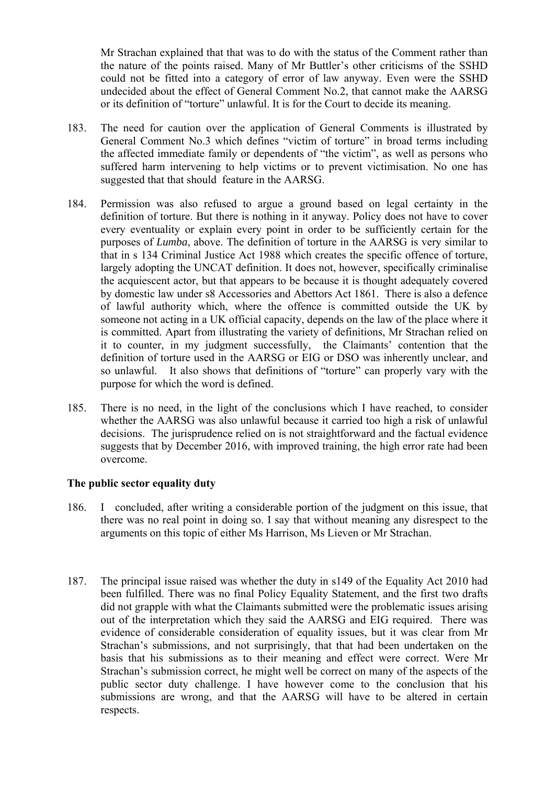could not be fitted into a category of error of law anyway. Even were the SSHD Mr Strachan explained that that was to do with the status of the Comment rather than the nature of the points raised. Many of Mr Buttler's other criticisms of the SSHD undecided about the effect of General Comment No.2, that cannot make the AARSG or its definition of "torture" unlawful. It is for the Court to decide its meaning.

- General Comment No.3 which defines "victim of torture" in broad terms including 183. The need for caution over the application of General Comments is illustrated by the affected immediate family or dependents of "the victim", as well as persons who suffered harm intervening to help victims or to prevent victimisation. No one has suggested that that should feature in the AARSG.
- is committed. Apart from illustrating the variety of definitions, Mr Strachan relied on 184. Permission was also refused to argue a ground based on legal certainty in the definition of torture. But there is nothing in it anyway. Policy does not have to cover every eventuality or explain every point in order to be sufficiently certain for the purposes of *Lumba*, above. The definition of torture in the AARSG is very similar to that in s 134 Criminal Justice Act 1988 which creates the specific offence of torture, largely adopting the UNCAT definition. It does not, however, specifically criminalise the acquiescent actor, but that appears to be because it is thought adequately covered by domestic law under s8 Accessories and Abettors Act 1861. There is also a defence of lawful authority which, where the offence is committed outside the UK by someone not acting in a UK official capacity, depends on the law of the place where it it to counter, in my judgment successfully, the Claimants' contention that the definition of torture used in the AARSG or EIG or DSO was inherently unclear, and so unlawful. It also shows that definitions of "torture" can properly vary with the purpose for which the word is defined.
- whether the AARSG was also unlawful because it carried too high a risk of unlawful 185. There is no need, in the light of the conclusions which I have reached, to consider decisions. The jurisprudence relied on is not straightforward and the factual evidence suggests that by December 2016, with improved training, the high error rate had been overcome.

### **The public sector equality duty**

- 186. I concluded, after writing a considerable portion of the judgment on this issue, that there was no real point in doing so. I say that without meaning any disrespect to the arguments on this topic of either Ms Harrison, Ms Lieven or Mr Strachan.
- out of the interpretation which they said the AARSG and EIG required. There was evidence of considerable consideration of equality issues, but it was clear from Mr submissions are wrong, and that the AARSG will have to be altered in certain 187. The principal issue raised was whether the duty in s149 of the Equality Act 2010 had been fulfilled. There was no final Policy Equality Statement, and the first two drafts did not grapple with what the Claimants submitted were the problematic issues arising Strachan's submissions, and not surprisingly, that that had been undertaken on the basis that his submissions as to their meaning and effect were correct. Were Mr Strachan's submission correct, he might well be correct on many of the aspects of the public sector duty challenge. I have however come to the conclusion that his respects.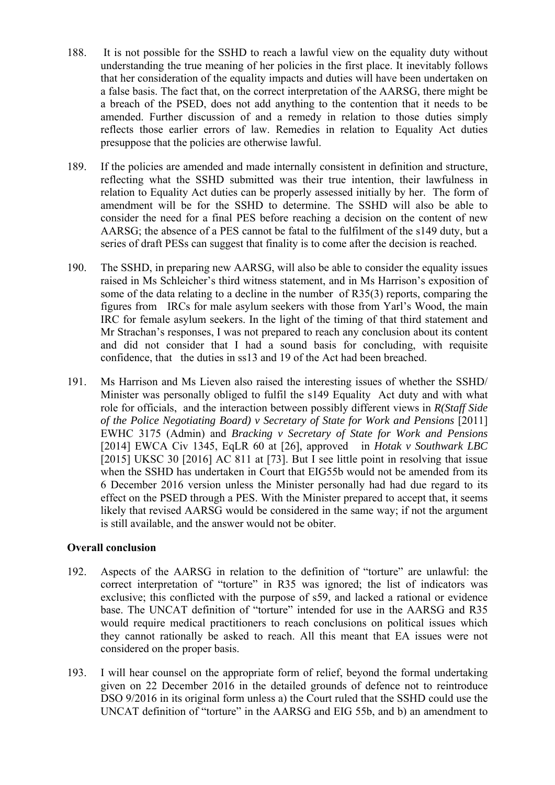- understanding the true meaning of her policies in the first place. It inevitably follows amended. Further discussion of and a remedy in relation to those duties simply 188. It is not possible for the SSHD to reach a lawful view on the equality duty without that her consideration of the equality impacts and duties will have been undertaken on a false basis. The fact that, on the correct interpretation of the AARSG, there might be a breach of the PSED, does not add anything to the contention that it needs to be reflects those earlier errors of law. Remedies in relation to Equality Act duties presuppose that the policies are otherwise lawful.
- relation to Equality Act duties can be properly assessed initially by her. The form of amendment will be for the SSHD to determine. The SSHD will also be able to consider the need for a final PES before reaching a decision on the content of new AARSG; the absence of a PES cannot be fatal to the fulfilment of the s149 duty, but a 189. If the policies are amended and made internally consistent in definition and structure, reflecting what the SSHD submitted was their true intention, their lawfulness in series of draft PESs can suggest that finality is to come after the decision is reached.
- some of the data relating to a decline in the number of R35(3) reports, comparing the figures from IRCs for male asylum seekers with those from Yarl's Wood, the main IRC for female asylum seekers. In the light of the timing of that third statement and 190. The SSHD, in preparing new AARSG, will also be able to consider the equality issues raised in Ms Schleicher's third witness statement, and in Ms Harrison's exposition of Mr Strachan's responses, I was not prepared to reach any conclusion about its content and did not consider that I had a sound basis for concluding, with requisite confidence, that the duties in ss13 and 19 of the Act had been breached.
- 191. Ms Harrison and Ms Lieven also raised the interesting issues of whether the SSHD/ EWHC 3175 (Admin) and *Bracking v Secretary of State for Work and Pensions*  6 December 2016 version unless the Minister personally had had due regard to its Minister was personally obliged to fulfil the s149 Equality Act duty and with what role for officials, and the interaction between possibly different views in *R(Staff Side of the Police Negotiating Board) v Secretary of State for Work and Pensions* [2011] [2014] EWCA Civ 1345, EqLR 60 at [26], approved in *Hotak v Southwark LBC*  [2015] UKSC 30 [2016] AC 811 at [73]. But I see little point in resolving that issue when the SSHD has undertaken in Court that EIG55b would not be amended from its effect on the PSED through a PES. With the Minister prepared to accept that, it seems likely that revised AARSG would be considered in the same way; if not the argument is still available, and the answer would not be obiter.

### **Overall conclusion**

- 192. Aspects of the AARSG in relation to the definition of "torture" are unlawful: the correct interpretation of "torture" in R35 was ignored; the list of indicators was exclusive; this conflicted with the purpose of s59, and lacked a rational or evidence base. The UNCAT definition of "torture" intended for use in the AARSG and R35 would require medical practitioners to reach conclusions on political issues which they cannot rationally be asked to reach. All this meant that EA issues were not considered on the proper basis.
- 193. I will hear counsel on the appropriate form of relief, beyond the formal undertaking given on 22 December 2016 in the detailed grounds of defence not to reintroduce DSO 9/2016 in its original form unless a) the Court ruled that the SSHD could use the UNCAT definition of "torture" in the AARSG and EIG 55b, and b) an amendment to